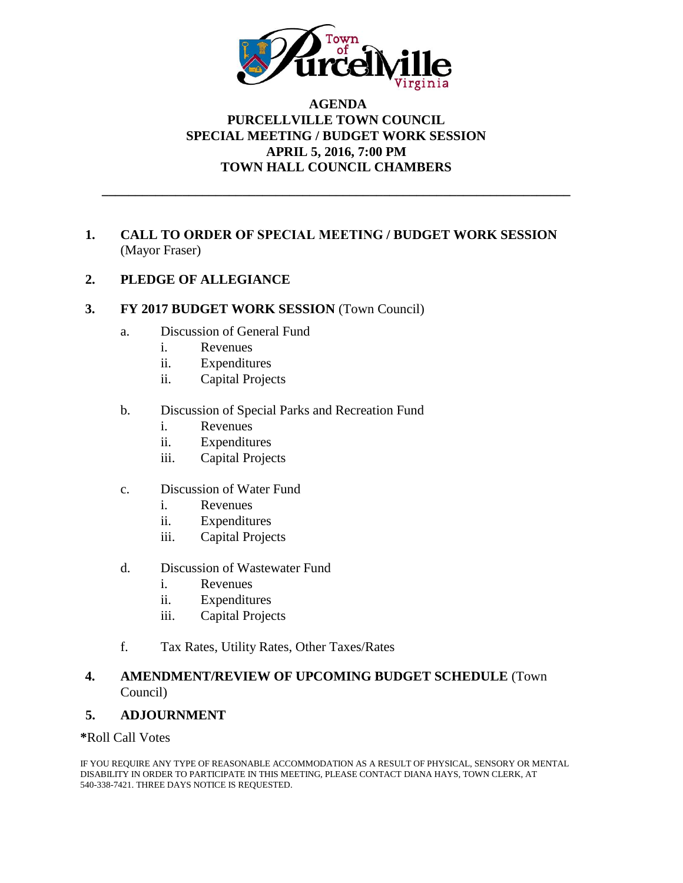

# **AGENDA PURCELLVILLE TOWN COUNCIL SPECIAL MEETING / BUDGET WORK SESSION APRIL 5, 2016, 7:00 PM TOWN HALL COUNCIL CHAMBERS**

**\_\_\_\_\_\_\_\_\_\_\_\_\_\_\_\_\_\_\_\_\_\_\_\_\_\_\_\_\_\_\_\_\_\_\_\_\_\_\_\_\_\_\_\_\_\_\_\_\_\_\_\_\_\_\_\_\_\_\_\_\_\_\_\_\_\_\_\_\_\_**

# **1. CALL TO ORDER OF SPECIAL MEETING / BUDGET WORK SESSION**  (Mayor Fraser)

# **2. PLEDGE OF ALLEGIANCE**

## **3. FY 2017 BUDGET WORK SESSION** (Town Council)

- a. Discussion of General Fund
	- i. Revenues
	- ii. Expenditures
	- ii. Capital Projects

## b. Discussion of Special Parks and Recreation Fund

- i. Revenues
- ii. Expenditures
- iii. Capital Projects
- c. Discussion of Water Fund
	- i. Revenues
	- ii. Expenditures
	- iii. Capital Projects
- d. Discussion of Wastewater Fund
	- i. Revenues
	- ii. Expenditures
	- iii. Capital Projects
- f. Tax Rates, Utility Rates, Other Taxes/Rates

## **4. AMENDMENT/REVIEW OF UPCOMING BUDGET SCHEDULE** (Town Council)

## **5. ADJOURNMENT**

## **\***Roll Call Votes

IF YOU REQUIRE ANY TYPE OF REASONABLE ACCOMMODATION AS A RESULT OF PHYSICAL, SENSORY OR MENTAL DISABILITY IN ORDER TO PARTICIPATE IN THIS MEETING, PLEASE CONTACT DIANA HAYS, TOWN CLERK, AT 540-338-7421. THREE DAYS NOTICE IS REQUESTED.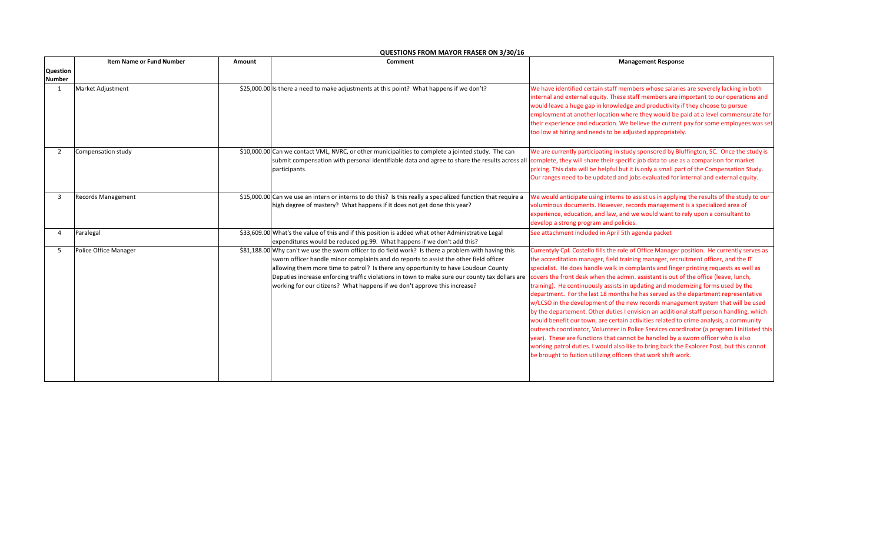|                          | Item Name or Fund Number | Amount | Comment                                                                                                                                                                                                                                                                                                                                                                                                                                                                                                                                                 | <b>Management Response</b>                                                                                                                                                                                                                                                                                                                                                                                                                                                                                                                                                                                                                                                                                                                                                                                                                                                                                                                                                                                                                                                 |
|--------------------------|--------------------------|--------|---------------------------------------------------------------------------------------------------------------------------------------------------------------------------------------------------------------------------------------------------------------------------------------------------------------------------------------------------------------------------------------------------------------------------------------------------------------------------------------------------------------------------------------------------------|----------------------------------------------------------------------------------------------------------------------------------------------------------------------------------------------------------------------------------------------------------------------------------------------------------------------------------------------------------------------------------------------------------------------------------------------------------------------------------------------------------------------------------------------------------------------------------------------------------------------------------------------------------------------------------------------------------------------------------------------------------------------------------------------------------------------------------------------------------------------------------------------------------------------------------------------------------------------------------------------------------------------------------------------------------------------------|
| <b>Question</b>          |                          |        |                                                                                                                                                                                                                                                                                                                                                                                                                                                                                                                                                         |                                                                                                                                                                                                                                                                                                                                                                                                                                                                                                                                                                                                                                                                                                                                                                                                                                                                                                                                                                                                                                                                            |
| <b>Number</b>            |                          |        |                                                                                                                                                                                                                                                                                                                                                                                                                                                                                                                                                         |                                                                                                                                                                                                                                                                                                                                                                                                                                                                                                                                                                                                                                                                                                                                                                                                                                                                                                                                                                                                                                                                            |
|                          | Market Adjustment        |        | \$25,000.00 Is there a need to make adjustments at this point? What happens if we don't?                                                                                                                                                                                                                                                                                                                                                                                                                                                                | We have identified certain staff members whose salaries are severely lacking in both<br>internal and external equity. These staff members are important to our operations and<br>would leave a huge gap in knowledge and productivity if they choose to pursue<br>employment at another location where they would be paid at a level commensurate for<br>their experience and education. We believe the current pay for some employees was set<br>too low at hiring and needs to be adjusted appropriately.                                                                                                                                                                                                                                                                                                                                                                                                                                                                                                                                                                |
| $\overline{\phantom{a}}$ | Compensation study       |        | \$10,000.00 Can we contact VML, NVRC, or other municipalities to complete a jointed study. The can<br>submit compensation with personal identifiable data and agree to share the results across all complete, they will share their specific job data to use as a comparison for market<br>participants.                                                                                                                                                                                                                                                | We are currently participating in study sponsored by Bluffington, SC. Once the study is<br>pricing. This data will be helpful but it is only a small part of the Compensation Study.<br>Our ranges need to be updated and jobs evaluated for internal and external equity.                                                                                                                                                                                                                                                                                                                                                                                                                                                                                                                                                                                                                                                                                                                                                                                                 |
|                          | Records Management       |        | \$15,000.00 Can we use an intern or interns to do this? Is this really a specialized function that require a<br>high degree of mastery? What happens if it does not get done this year?                                                                                                                                                                                                                                                                                                                                                                 | We would anticipate using interns to assist us in applying the results of the study to our<br>voluminous documents. However, records management is a specialized area of<br>experience, education, and law, and we would want to rely upon a consultant to<br>develop a strong program and policies.                                                                                                                                                                                                                                                                                                                                                                                                                                                                                                                                                                                                                                                                                                                                                                       |
|                          | Paralegal                |        | \$33,609.00 What's the value of this and if this position is added what other Administrative Legal<br>expenditures would be reduced pg.99. What happens if we don't add this?                                                                                                                                                                                                                                                                                                                                                                           | See attachment included in April 5th agenda packet                                                                                                                                                                                                                                                                                                                                                                                                                                                                                                                                                                                                                                                                                                                                                                                                                                                                                                                                                                                                                         |
| -5                       | Police Office Manager    |        | \$81,188.00 Why can't we use the sworn officer to do field work? Is there a problem with having this<br>sworn officer handle minor complaints and do reports to assist the other field officer<br>allowing them more time to patrol? Is there any opportunity to have Loudoun County<br>Deputies increase enforcing traffic violations in town to make sure our county tax dollars are covers the front desk when the admin. assistant is out of the office (leave, lunch,<br>working for our citizens? What happens if we don't approve this increase? | Currentyly Cpl. Costello fills the role of Office Manager position. He currently serves as<br>the accreditation manager, field training manager, recruitment officer, and the IT<br>specialist. He does handle walk in complaints and finger printing requests as well as<br>training). He continuously assists in updating and modernizing forms used by the<br>department. For the last 18 months he has served as the department representative<br>w/LCSO in the development of the new records management system that will be used<br>by the departement. Other duties I envision an additional staff person handling, which<br>would benefit our town, are certain activities related to crime analysis, a community<br>outreach coordinator, Volunteer in Police Services coordinator (a program I initiated this<br>year). These are functions that cannot be handled by a sworn officer who is also<br>working patrol duties. I would also like to bring back the Explorer Post, but this cannot<br>be brought to fuition utilizing officers that work shift work. |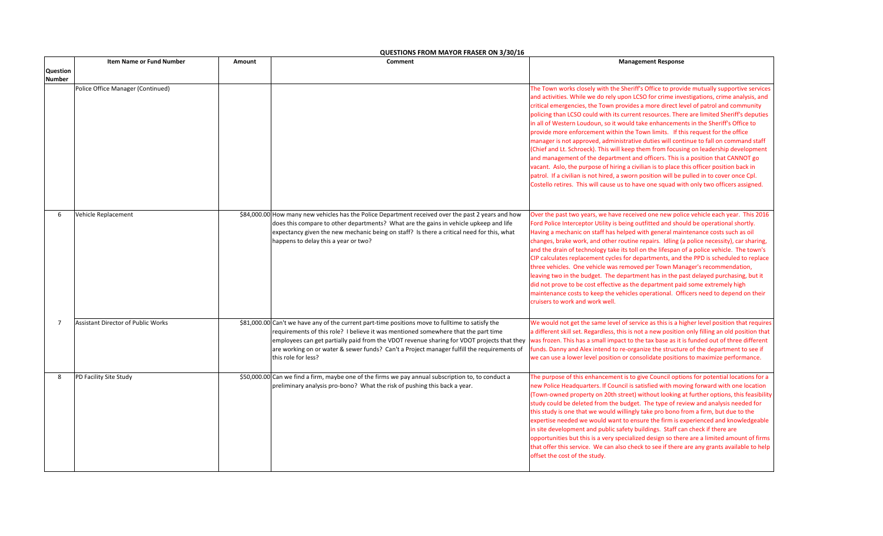|                | <b>Item Name or Fund Number</b>           | Amount | Comment                                                                                                                                                                                                                                                                                                                                                                                                   | <b>Management Response</b>                                                                                                                                                                                                                                                                                                                                                                                                                                                                                                                                                                                                                                                                                                                                                                                                                                                                                                                                                                                                                                                                                   |
|----------------|-------------------------------------------|--------|-----------------------------------------------------------------------------------------------------------------------------------------------------------------------------------------------------------------------------------------------------------------------------------------------------------------------------------------------------------------------------------------------------------|--------------------------------------------------------------------------------------------------------------------------------------------------------------------------------------------------------------------------------------------------------------------------------------------------------------------------------------------------------------------------------------------------------------------------------------------------------------------------------------------------------------------------------------------------------------------------------------------------------------------------------------------------------------------------------------------------------------------------------------------------------------------------------------------------------------------------------------------------------------------------------------------------------------------------------------------------------------------------------------------------------------------------------------------------------------------------------------------------------------|
| Question       |                                           |        |                                                                                                                                                                                                                                                                                                                                                                                                           |                                                                                                                                                                                                                                                                                                                                                                                                                                                                                                                                                                                                                                                                                                                                                                                                                                                                                                                                                                                                                                                                                                              |
| <b>Number</b>  |                                           |        |                                                                                                                                                                                                                                                                                                                                                                                                           |                                                                                                                                                                                                                                                                                                                                                                                                                                                                                                                                                                                                                                                                                                                                                                                                                                                                                                                                                                                                                                                                                                              |
|                | Police Office Manager (Continued)         |        |                                                                                                                                                                                                                                                                                                                                                                                                           | The Town works closely with the Sheriff's Office to provide mutually supportive services<br>and activities. While we do rely upon LCSO for crime investigations, crime analysis, and<br>critical emergencies, the Town provides a more direct level of patrol and community<br>policing than LCSO could with its current resources. There are limited Sheriff's deputies<br>in all of Western Loudoun, so it would take enhancements in the Sheriff's Office to<br>provide more enforcement within the Town limits. If this request for the office<br>manager is not approved, administrative duties will continue to fall on command staff<br>(Chief and Lt. Schroeck). This will keep them from focusing on leadership development<br>and management of the department and officers. This is a position that CANNOT go<br>vacant. Aslo, the purpose of hiring a civilian is to place this officer position back in<br>patrol. If a civilian is not hired, a sworn position will be pulled in to cover once Cpl.<br>Costello retires. This will cause us to have one squad with only two officers assigned. |
| 6              | Vehicle Replacement                       |        | \$84,000.00 How many new vehicles has the Police Department received over the past 2 years and how<br>does this compare to other departments? What are the gains in vehicle upkeep and life<br>expectancy given the new mechanic being on staff? Is there a critical need for this, what<br>happens to delay this a year or two?                                                                          | Over the past two years, we have received one new police vehicle each year. This 2016<br>Ford Police Interceptor Utility is being outfitted and should be operational shortly.<br>Having a mechanic on staff has helped with general maintenance costs such as oil<br>changes, brake work, and other routine repairs. Idling (a police necessity), car sharing,<br>and the drain of technology take its toll on the lifespan of a police vehicle. The town's<br>CIP calculates replacement cycles for departments, and the PPD is scheduled to replace<br>three vehicles. One vehicle was removed per Town Manager's recommendation,<br>leaving two in the budget. The department has in the past delayed purchasing, but it<br>did not prove to be cost effective as the department paid some extremely high<br>maintenance costs to keep the vehicles operational. Officers need to depend on their<br>cruisers to work and work well.                                                                                                                                                                     |
| $\overline{7}$ | <b>Assistant Director of Public Works</b> |        | \$81,000.00 Can't we have any of the current part-time positions move to fulltime to satisfy the<br>requirements of this role? I believe it was mentioned somewhere that the part time<br>employees can get partially paid from the VDOT revenue sharing for VDOT projects that they<br>are working on or water & sewer funds? Can't a Project manager fulfill the requirements of<br>this role for less? | We would not get the same level of service as this is a higher level position that requires<br>a different skill set. Regardless, this is not a new position only filling an old position that<br>was frozen. This has a small impact to the tax base as it is funded out of three different<br>funds. Danny and Alex intend to re-organize the structure of the department to see if<br>we can use a lower level position or consolidate positions to maximize performance.                                                                                                                                                                                                                                                                                                                                                                                                                                                                                                                                                                                                                                 |
| 8              | PD Facility Site Study                    |        | \$50,000.00 Can we find a firm, maybe one of the firms we pay annual subscription to, to conduct a<br>preliminary analysis pro-bono? What the risk of pushing this back a year.                                                                                                                                                                                                                           | The purpose of this enhancement is to give Council options for potential locations for a<br>new Police Headquarters. If Council is satisfied with moving forward with one location<br>(Town-owned property on 20th street) without looking at further options, this feasibility<br>study could be deleted from the budget. The type of review and analysis needed for<br>this study is one that we would willingly take pro bono from a firm, but due to the<br>expertise needed we would want to ensure the firm is experienced and knowledgeable<br>in site development and public safety buildings. Staff can check if there are<br>opportunities but this is a very specialized design so there are a limited amount of firms<br>that offer this service. We can also check to see if there are any grants available to help<br>offset the cost of the study.                                                                                                                                                                                                                                            |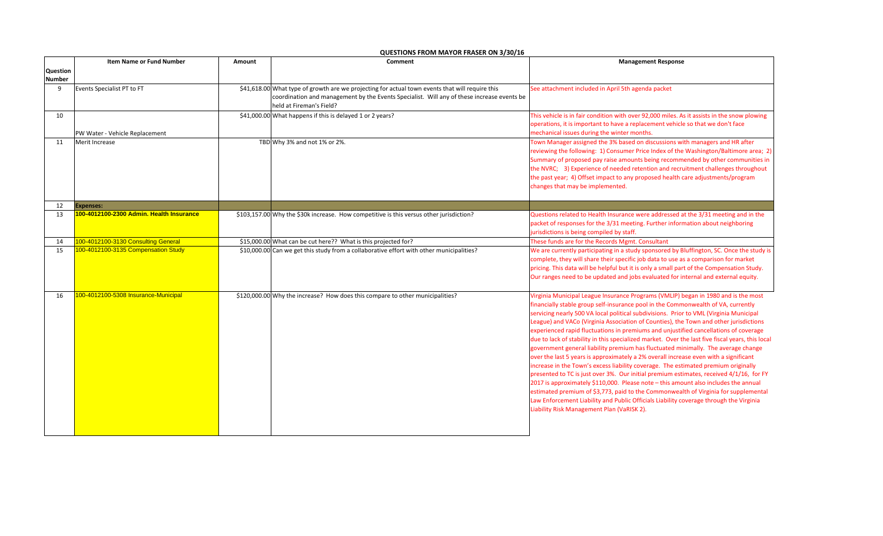|                 | <b>Item Name or Fund Number</b>          | Amount | Comment                                                                                                                                                                                                                   | <b>Management Response</b>                                                                                                                                                                                                                                                                                                                                                                                                                                                                                                                                                                                                                                                                                                                                                                                                                                                                                                                                                                                                                                                                                                                                                                                                                 |
|-----------------|------------------------------------------|--------|---------------------------------------------------------------------------------------------------------------------------------------------------------------------------------------------------------------------------|--------------------------------------------------------------------------------------------------------------------------------------------------------------------------------------------------------------------------------------------------------------------------------------------------------------------------------------------------------------------------------------------------------------------------------------------------------------------------------------------------------------------------------------------------------------------------------------------------------------------------------------------------------------------------------------------------------------------------------------------------------------------------------------------------------------------------------------------------------------------------------------------------------------------------------------------------------------------------------------------------------------------------------------------------------------------------------------------------------------------------------------------------------------------------------------------------------------------------------------------|
| <b>Question</b> |                                          |        |                                                                                                                                                                                                                           |                                                                                                                                                                                                                                                                                                                                                                                                                                                                                                                                                                                                                                                                                                                                                                                                                                                                                                                                                                                                                                                                                                                                                                                                                                            |
| <b>Number</b>   |                                          |        |                                                                                                                                                                                                                           |                                                                                                                                                                                                                                                                                                                                                                                                                                                                                                                                                                                                                                                                                                                                                                                                                                                                                                                                                                                                                                                                                                                                                                                                                                            |
| 9               | Events Specialist PT to FT               |        | \$41,618.00 What type of growth are we projecting for actual town events that will require this<br>coordination and management by the Events Specialist. Will any of these increase events be<br>held at Fireman's Field? | See attachment included in April 5th agenda packet                                                                                                                                                                                                                                                                                                                                                                                                                                                                                                                                                                                                                                                                                                                                                                                                                                                                                                                                                                                                                                                                                                                                                                                         |
| 10              | PW Water - Vehicle Replacement           |        | \$41,000.00 What happens if this is delayed 1 or 2 years?                                                                                                                                                                 | This vehicle is in fair condition with over 92,000 miles. As it assists in the snow plowing<br>operations, it is important to have a replacement vehicle so that we don't face<br>mechanical issues during the winter months.                                                                                                                                                                                                                                                                                                                                                                                                                                                                                                                                                                                                                                                                                                                                                                                                                                                                                                                                                                                                              |
| 11              | Merit Increase                           |        | TBD Why 3% and not 1% or 2%.                                                                                                                                                                                              | Town Manager assigned the 3% based on discussions with managers and HR after<br>reviewing the following: 1) Consumer Price Index of the Washington/Baltimore area; 2)<br>Summary of proposed pay raise amounts being recommended by other communities in<br>the NVRC; 3) Experience of needed retention and recruitment challenges throughout<br>the past year; 4) Offset impact to any proposed health care adjustments/program<br>changes that may be implemented.                                                                                                                                                                                                                                                                                                                                                                                                                                                                                                                                                                                                                                                                                                                                                                       |
| 12              | <b>Expenses:</b>                         |        |                                                                                                                                                                                                                           |                                                                                                                                                                                                                                                                                                                                                                                                                                                                                                                                                                                                                                                                                                                                                                                                                                                                                                                                                                                                                                                                                                                                                                                                                                            |
| 13              | 100-4012100-2300 Admin, Health Insurance |        | \$103,157.00 Why the \$30k increase. How competitive is this versus other jurisdiction?                                                                                                                                   | Questions related to Health Insurance were addressed at the 3/31 meeting and in the<br>packet of responses for the 3/31 meeting. Further information about neighboring<br>jurisdictions is being compiled by staff.                                                                                                                                                                                                                                                                                                                                                                                                                                                                                                                                                                                                                                                                                                                                                                                                                                                                                                                                                                                                                        |
| 14              | 100-4012100-3130 Consulting General      |        | \$15,000.00 What can be cut here?? What is this projected for?                                                                                                                                                            | These funds are for the Records Mgmt. Consultant                                                                                                                                                                                                                                                                                                                                                                                                                                                                                                                                                                                                                                                                                                                                                                                                                                                                                                                                                                                                                                                                                                                                                                                           |
| 15              | 100-4012100-3135 Compensation Study      |        | \$10,000.00 Can we get this study from a collaborative effort with other municipalities?                                                                                                                                  | We are currently participating in a study sponsored by Bluffington, SC. Once the study is<br>complete, they will share their specific job data to use as a comparison for market<br>pricing. This data will be helpful but it is only a small part of the Compensation Study.<br>Our ranges need to be updated and jobs evaluated for internal and external equity.                                                                                                                                                                                                                                                                                                                                                                                                                                                                                                                                                                                                                                                                                                                                                                                                                                                                        |
| 16              | 100-4012100-5308 Insurance-Municipal     |        | \$120,000.00 Why the increase? How does this compare to other municipalities?                                                                                                                                             | Virginia Municipal League Insurance Programs (VMLIP) began in 1980 and is the most<br>financially stable group self-insurance pool in the Commonwealth of VA, currently<br>servicing nearly 500 VA local political subdivisions. Prior to VML (Virginia Municipal<br>League) and VACo (Virginia Association of Counties), the Town and other jurisdictions<br>experienced rapid fluctuations in premiums and unjustified cancellations of coverage<br>due to lack of stability in this specialized market. Over the last five fiscal years, this local<br>government general liability premium has fluctuated minimally. The average change<br>over the last 5 years is approximately a 2% overall increase even with a significant<br>increase in the Town's excess liability coverage. The estimated premium originally<br>presented to TC is just over 3%. Our initial premium estimates, received 4/1/16, for FY<br>2017 is approximately \$110,000. Please note - this amount also includes the annual<br>estimated premium of \$3,773, paid to the Commonwealth of Virginia for supplemental<br>Law Enforcement Liability and Public Officials Liability coverage through the Virginia<br>Liability Risk Management Plan (VaRISK 2). |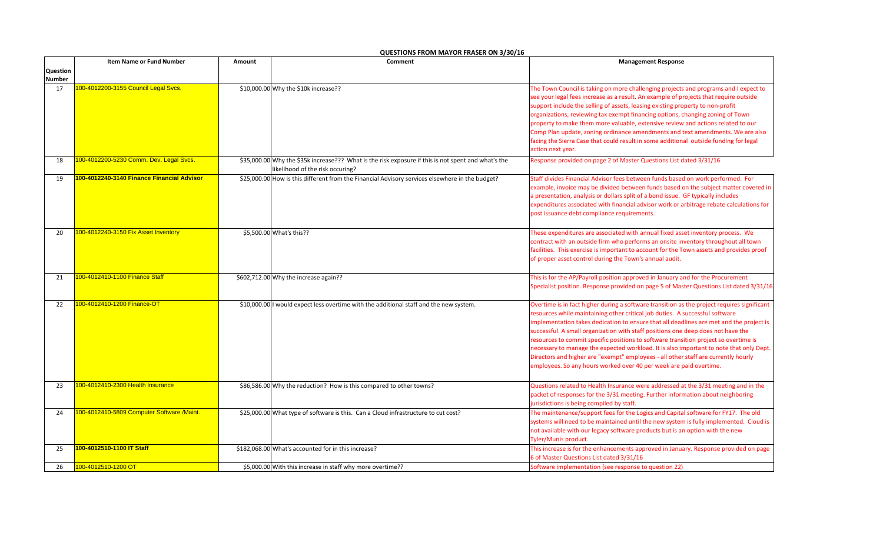|                 | <b>Item Name or Fund Number</b>            | Amount | Comment                                                                                                                                 | <b>Management Response</b>                                                                                                                                                                                                                                                                                                                                                                                                                                                                                                                                                                                                                                                                                |
|-----------------|--------------------------------------------|--------|-----------------------------------------------------------------------------------------------------------------------------------------|-----------------------------------------------------------------------------------------------------------------------------------------------------------------------------------------------------------------------------------------------------------------------------------------------------------------------------------------------------------------------------------------------------------------------------------------------------------------------------------------------------------------------------------------------------------------------------------------------------------------------------------------------------------------------------------------------------------|
| <b>Question</b> |                                            |        |                                                                                                                                         |                                                                                                                                                                                                                                                                                                                                                                                                                                                                                                                                                                                                                                                                                                           |
| <b>Number</b>   |                                            |        |                                                                                                                                         |                                                                                                                                                                                                                                                                                                                                                                                                                                                                                                                                                                                                                                                                                                           |
| 17              | 100-4012200-3155 Council Legal Svcs.       |        | \$10,000.00 Why the \$10k increase??                                                                                                    | The Town Council is taking on more challenging projects and programs and I expect to<br>see your legal fees increase as a result. An example of projects that require outside<br>support include the selling of assets, leasing existing property to non-profit<br>organizations, reviewing tax exempt financing options, changing zoning of Town<br>property to make them more valuable, extensive review and actions related to our<br>Comp Plan update, zoning ordinance amendments and text amendments. We are also<br>facing the Sierra Case that could result in some additional outside funding for legal<br>action next year.                                                                     |
| 18              | 100-4012200-5230 Comm. Dev. Legal Svcs.    |        | \$35,000.00 Why the \$35k increase??? What is the risk exposure if this is not spent and what's the<br>likelihood of the risk occuring? | Response provided on page 2 of Master Questions List dated 3/31/16                                                                                                                                                                                                                                                                                                                                                                                                                                                                                                                                                                                                                                        |
| 19              | 100-4012240-3140 Finance Financial Advisor |        | \$25,000.00 How is this different from the Financial Advisory services elsewhere in the budget?                                         | Staff divides Financial Advisor fees between funds based on work performed. For<br>example, invoice may be divided between funds based on the subject matter covered in<br>a presentation, analysis or dollars split of a bond issue. GF typically includes<br>expenditures associated with financial advisor work or arbitrage rebate calculations for<br>post issuance debt compliance requirements.                                                                                                                                                                                                                                                                                                    |
| 20              | 100-4012240-3150 Fix Asset Inventory       |        | \$5,500.00 What's this??                                                                                                                | These expenditures are associated with annual fixed asset inventory process. We<br>contract with an outside firm who performs an onsite inventory throughout all town<br>facilities. This exercise is important to account for the Town assets and provides proof<br>of proper asset control during the Town's annual audit.                                                                                                                                                                                                                                                                                                                                                                              |
| 21              | 100-4012410-1100 Finance Staff             |        | \$602,712.00 Why the increase again??                                                                                                   | This is for the AP/Payroll position approved in January and for the Procurement<br>Specialist position. Response provided on page 5 of Master Questions List dated 3/31/16                                                                                                                                                                                                                                                                                                                                                                                                                                                                                                                                |
| 22              | 100-4012410-1200 Finance-OT                |        | \$10,000.00 I would expect less overtime with the additional staff and the new system.                                                  | Overtime is in fact higher during a software transition as the project requires significant<br>resources while maintaining other critical job duties. A successful software<br>implementation takes dedication to ensure that all deadlines are met and the project is<br>successful. A small organization with staff positions one deep does not have the<br>resources to commit specific positions to software transition project so overtime is<br>necessary to manage the expected workload. It is also important to note that only Dept.<br>Directors and higher are "exempt" employees - all other staff are currently hourly<br>employees. So any hours worked over 40 per week are paid overtime. |
| 23              | 100-4012410-2300 Health Insurance          |        | \$86,586.00 Why the reduction? How is this compared to other towns?                                                                     | Questions related to Health Insurance were addressed at the 3/31 meeting and in the<br>packet of responses for the 3/31 meeting. Further information about neighboring<br>jurisdictions is being compiled by staff.                                                                                                                                                                                                                                                                                                                                                                                                                                                                                       |
| 24              | 100-4012410-5809 Computer Software /Maint. |        | \$25,000.00 What type of software is this. Can a Cloud infrastructure to cut cost?                                                      | The maintenance/support fees for the Logics and Capital software for FY17. The old<br>systems will need to be maintained until the new system is fully implemented. Cloud is<br>not available with our legacy software products but is an option with the new<br>Tyler/Munis product.                                                                                                                                                                                                                                                                                                                                                                                                                     |
| 25              | 100-4012510-1100 IT Staff                  |        | \$182,068.00 What's accounted for in this increase?                                                                                     | This increase is for the enhancements approved in January. Response provided on page<br>6 of Master Questions List dated 3/31/16                                                                                                                                                                                                                                                                                                                                                                                                                                                                                                                                                                          |
| 26              | 100-4012510-1200 OT                        |        | \$5,000.00 With this increase in staff why more overtime??                                                                              | Software implementation (see response to question 22)                                                                                                                                                                                                                                                                                                                                                                                                                                                                                                                                                                                                                                                     |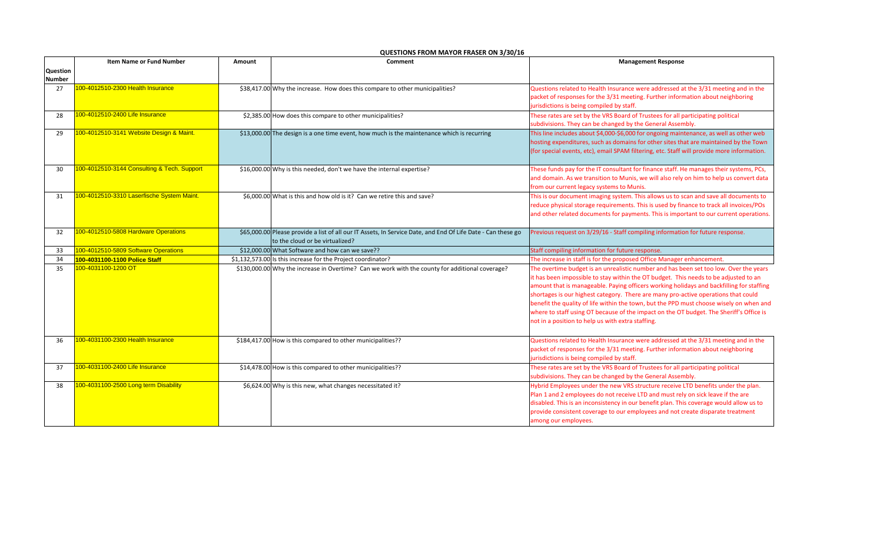|          | <b>Item Name or Fund Number</b>             | Amount | Comment                                                                                                                                         | <b>Management Response</b>                                                                                                                           |
|----------|---------------------------------------------|--------|-------------------------------------------------------------------------------------------------------------------------------------------------|------------------------------------------------------------------------------------------------------------------------------------------------------|
| Question |                                             |        |                                                                                                                                                 |                                                                                                                                                      |
| Number   |                                             |        |                                                                                                                                                 |                                                                                                                                                      |
| 27       | 100-4012510-2300 Health Insurance           |        | \$38,417.00 Why the increase. How does this compare to other municipalities?                                                                    | Questions related to Health Insurance were addressed at the 3/31 meeting and in the                                                                  |
|          |                                             |        |                                                                                                                                                 | packet of responses for the 3/31 meeting. Further information about neighboring                                                                      |
|          | 100-4012510-2400 Life Insurance             |        |                                                                                                                                                 | jurisdictions is being compiled by staff.                                                                                                            |
| 28       |                                             |        | \$2,385.00 How does this compare to other municipalities?                                                                                       | These rates are set by the VRS Board of Trustees for all participating political                                                                     |
| 29       | 100-4012510-3141 Website Design & Maint.    |        | \$13,000.00 The design is a one time event, how much is the maintenance which is recurring                                                      | subdivisions. They can be changed by the General Assembly.<br>This line includes about \$4,000-\$6,000 for ongoing maintenance, as well as other web |
|          |                                             |        |                                                                                                                                                 | hosting expenditures, such as domains for other sites that are maintained by the Town                                                                |
|          |                                             |        |                                                                                                                                                 | (for special events, etc), email SPAM filtering, etc. Staff will provide more information.                                                           |
|          |                                             |        |                                                                                                                                                 |                                                                                                                                                      |
| 30       | 100-4012510-3144 Consulting & Tech. Support |        | \$16,000.00 Why is this needed, don't we have the internal expertise?                                                                           | These funds pay for the IT consultant for finance staff. He manages their systems, PCs,                                                              |
|          |                                             |        |                                                                                                                                                 | and domain. As we transition to Munis, we will also rely on him to help us convert data                                                              |
|          |                                             |        |                                                                                                                                                 | from our current legacy systems to Munis.                                                                                                            |
| 31       | 100-4012510-3310 Laserfische System Maint.  |        | \$6,000.00 What is this and how old is it? Can we retire this and save?                                                                         | This is our document imaging system. This allows us to scan and save all documents to                                                                |
|          |                                             |        |                                                                                                                                                 | reduce physical storage requirements. This is used by finance to track all invoices/POs                                                              |
|          |                                             |        |                                                                                                                                                 | and other related documents for payments. This is important to our current operations.                                                               |
|          |                                             |        |                                                                                                                                                 |                                                                                                                                                      |
| 32       | 100-4012510-5808 Hardware Operations        |        | \$65,000.00 Please provide a list of all our IT Assets, In Service Date, and End Of Life Date - Can these go<br>to the cloud or be virtualized? | Previous request on 3/29/16 - Staff compiling information for future response.                                                                       |
| 33       | 100-4012510-5809 Software Operations        |        | \$12,000.00 What Software and how can we save??                                                                                                 | Staff compiling information for future response.                                                                                                     |
| 34       | 100-4031100-1100 Police Staff               |        | \$1,132,573.00 Is this increase for the Project coordinator?                                                                                    | The increase in staff is for the proposed Office Manager enhancement.                                                                                |
| 35       | 100-4031100-1200 OT                         |        | \$130,000.00 Why the increase in Overtime? Can we work with the county for additional coverage?                                                 | The overtime budget is an unrealistic number and has been set too low. Over the years                                                                |
|          |                                             |        |                                                                                                                                                 | it has been impossible to stay within the OT budget. This needs to be adjusted to an                                                                 |
|          |                                             |        |                                                                                                                                                 | amount that is manageable. Paying officers working holidays and backfilling for staffing                                                             |
|          |                                             |        |                                                                                                                                                 | shortages is our highest category. There are many pro-active operations that could                                                                   |
|          |                                             |        |                                                                                                                                                 | benefit the quality of life within the town, but the PPD must choose wisely on when and                                                              |
|          |                                             |        |                                                                                                                                                 | where to staff using OT because of the impact on the OT budget. The Sheriff's Office is                                                              |
|          |                                             |        |                                                                                                                                                 | not in a position to help us with extra staffing.                                                                                                    |
|          |                                             |        |                                                                                                                                                 |                                                                                                                                                      |
| 36       | 100-4031100-2300 Health Insurance           |        | \$184,417.00 How is this compared to other municipalities??                                                                                     | Questions related to Health Insurance were addressed at the 3/31 meeting and in the                                                                  |
|          |                                             |        |                                                                                                                                                 | packet of responses for the 3/31 meeting. Further information about neighboring                                                                      |
|          | 100-4031100-2400 Life Insurance             |        |                                                                                                                                                 | jurisdictions is being compiled by staff.                                                                                                            |
| 37       |                                             |        | \$14,478.00 How is this compared to other municipalities??                                                                                      | These rates are set by the VRS Board of Trustees for all participating political                                                                     |
| 38       | 100-4031100-2500 Long term Disability       |        | \$6,624.00 Why is this new, what changes necessitated it?                                                                                       | subdivisions. They can be changed by the General Assembly.<br>Hybrid Employees under the new VRS structure receive LTD benefits under the plan.      |
|          |                                             |        |                                                                                                                                                 | Plan 1 and 2 employees do not receive LTD and must rely on sick leave if the are                                                                     |
|          |                                             |        |                                                                                                                                                 | disabled. This is an inconsistency in our benefit plan. This coverage would allow us to                                                              |
|          |                                             |        |                                                                                                                                                 | provide consistent coverage to our employees and not create disparate treatment                                                                      |
|          |                                             |        |                                                                                                                                                 | among our employees.                                                                                                                                 |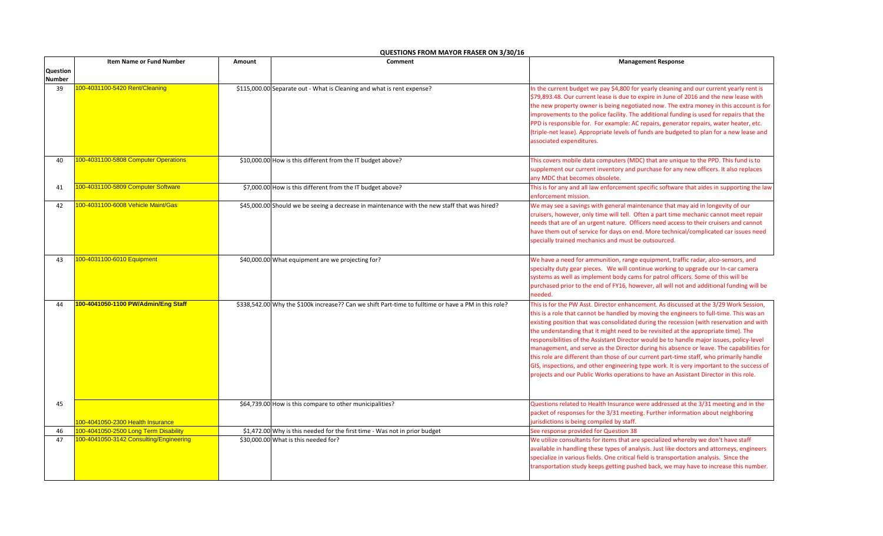|                 | <b>Item Name or Fund Number</b>         | Amount | Comment                                                                                              | <b>Management Response</b>                                                                                                                                                                                                                                                                                                                                                                                                                                                                                                                                                                                                                                                                                                                                                                                                               |
|-----------------|-----------------------------------------|--------|------------------------------------------------------------------------------------------------------|------------------------------------------------------------------------------------------------------------------------------------------------------------------------------------------------------------------------------------------------------------------------------------------------------------------------------------------------------------------------------------------------------------------------------------------------------------------------------------------------------------------------------------------------------------------------------------------------------------------------------------------------------------------------------------------------------------------------------------------------------------------------------------------------------------------------------------------|
| <b>Question</b> |                                         |        |                                                                                                      |                                                                                                                                                                                                                                                                                                                                                                                                                                                                                                                                                                                                                                                                                                                                                                                                                                          |
| <b>Number</b>   |                                         |        |                                                                                                      |                                                                                                                                                                                                                                                                                                                                                                                                                                                                                                                                                                                                                                                                                                                                                                                                                                          |
| 39              | 100-4031100-5420 Rent/Cleaning          |        | \$115,000.00 Separate out - What is Cleaning and what is rent expense?                               | In the current budget we pay \$4,800 for yearly cleaning and our current yearly rent is<br>\$79,893.48. Our current lease is due to expire in June of 2016 and the new lease with<br>the new property owner is being negotiated now. The extra money in this account is for<br>improvements to the police facility. The additional funding is used for repairs that the<br>PPD is responsible for. For example: AC repairs, generator repairs, water heater, etc.<br>(triple-net lease). Appropriate levels of funds are budgeted to plan for a new lease and<br>associated expenditures.                                                                                                                                                                                                                                                |
| 40              | 100-4031100-5808 Computer Operations    |        | \$10,000.00 How is this different from the IT budget above?                                          | This covers mobile data computers (MDC) that are unique to the PPD. This fund is to<br>supplement our current inventory and purchase for any new officers. It also replaces<br>any MDC that becomes obsolete.                                                                                                                                                                                                                                                                                                                                                                                                                                                                                                                                                                                                                            |
| 41              | 100-4031100-5809 Computer Software      |        | \$7,000.00 How is this different from the IT budget above?                                           | This is for any and all law enforcement specific software that aides in supporting the law<br>enforcement mission.                                                                                                                                                                                                                                                                                                                                                                                                                                                                                                                                                                                                                                                                                                                       |
| 42              | 100-4031100-6008 Vehicle Maint/Gas      |        | \$45,000.00 Should we be seeing a decrease in maintenance with the new staff that was hired?         | We may see a savings with general maintenance that may aid in longevity of our<br>cruisers, however, only time will tell. Often a part time mechanic cannot meet repair<br>needs that are of an urgent nature. Officers need access to their cruisers and cannot<br>have them out of service for days on end. More technical/complicated car issues need<br>specially trained mechanics and must be outsourced.                                                                                                                                                                                                                                                                                                                                                                                                                          |
| 43              | 100-4031100-6010 Equipment              |        | \$40,000.00 What equipment are we projecting for?                                                    | We have a need for ammunition, range equipment, traffic radar, alco-sensors, and<br>specialty duty gear pieces. We will continue working to upgrade our In-car camera<br>systems as well as implement body cams for patrol officers. Some of this will be<br>purchased prior to the end of FY16, however, all will not and additional funding will be<br>needed.                                                                                                                                                                                                                                                                                                                                                                                                                                                                         |
| 44              | 100-4041050-1100 PW/Admin/Eng Staff     |        | \$338,542.00 Why the \$100k increase?? Can we shift Part-time to fulltime or have a PM in this role? | This is for the PW Asst. Director enhancement. As discussed at the 3/29 Work Session,<br>this is a role that cannot be handled by moving the engineers to full-time. This was an<br>existing position that was consolidated during the recession (with reservation and with<br>the understanding that it might need to be revisited at the appropriate time). The<br>responsibilities of the Assistant Director would be to handle major issues, policy-level<br>management, and serve as the Director during his absence or leave. The capabilities for<br>this role are different than those of our current part-time staff, who primarily handle<br>GIS, inspections, and other engineering type work. It is very important to the success of<br>projects and our Public Works operations to have an Assistant Director in this role. |
| 45              | 100-4041050-2300 Health Insurance       |        | \$64,739.00 How is this compare to other municipalities?                                             | Questions related to Health Insurance were addressed at the 3/31 meeting and in the<br>packet of responses for the 3/31 meeting. Further information about neighboring<br>jurisdictions is being compiled by staff.                                                                                                                                                                                                                                                                                                                                                                                                                                                                                                                                                                                                                      |
| 46              | 100-4041050-2500 Long Term Disability   |        | \$1,472.00 Why is this needed for the first time - Was not in prior budget                           | See response provided for Question 38                                                                                                                                                                                                                                                                                                                                                                                                                                                                                                                                                                                                                                                                                                                                                                                                    |
| 47              | 100-4041050-3142 Consulting/Engineering |        | \$30,000.00 What is this needed for?                                                                 | We utilize consultants for items that are specialized whereby we don't have staff<br>available in handling these types of analysis. Just like doctors and attorneys, engineers<br>specialize in various fields. One critical field is transportation analysis. Since the<br>transportation study keeps getting pushed back, we may have to increase this number.                                                                                                                                                                                                                                                                                                                                                                                                                                                                         |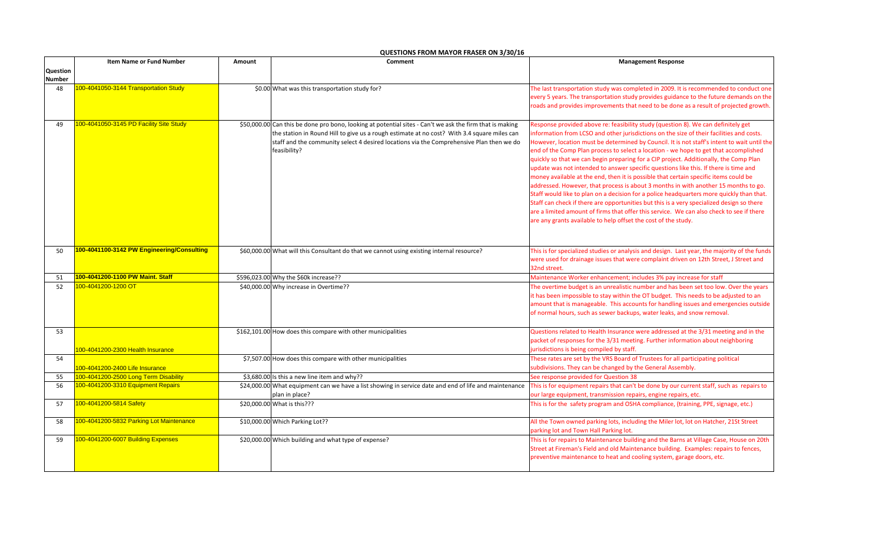|                 | <b>Item Name or Fund Number</b>            | Comment<br>Amount |                                                                                                                                                                                                                                                                                                                     | <b>Management Response</b>                                                                                                                                                                                                                                                                                                                                                                                                                                                                                                                                                                                                                                                                                                                                                                                                                                                                                                                                                                                                                                                                  |
|-----------------|--------------------------------------------|-------------------|---------------------------------------------------------------------------------------------------------------------------------------------------------------------------------------------------------------------------------------------------------------------------------------------------------------------|---------------------------------------------------------------------------------------------------------------------------------------------------------------------------------------------------------------------------------------------------------------------------------------------------------------------------------------------------------------------------------------------------------------------------------------------------------------------------------------------------------------------------------------------------------------------------------------------------------------------------------------------------------------------------------------------------------------------------------------------------------------------------------------------------------------------------------------------------------------------------------------------------------------------------------------------------------------------------------------------------------------------------------------------------------------------------------------------|
| <b>Question</b> |                                            |                   |                                                                                                                                                                                                                                                                                                                     |                                                                                                                                                                                                                                                                                                                                                                                                                                                                                                                                                                                                                                                                                                                                                                                                                                                                                                                                                                                                                                                                                             |
| <b>Number</b>   |                                            |                   |                                                                                                                                                                                                                                                                                                                     |                                                                                                                                                                                                                                                                                                                                                                                                                                                                                                                                                                                                                                                                                                                                                                                                                                                                                                                                                                                                                                                                                             |
| 48              | 100-4041050-3144 Transportation Study      |                   | \$0.00 What was this transportation study for?                                                                                                                                                                                                                                                                      | The last transportation study was completed in 2009. It is recommended to conduct one<br>every 5 years. The transportation study provides guidance to the future demands on the<br>roads and provides improvements that need to be done as a result of projected growth.                                                                                                                                                                                                                                                                                                                                                                                                                                                                                                                                                                                                                                                                                                                                                                                                                    |
| 49              | 100-4041050-3145 PD Facility Site Study    |                   | \$50,000.00 Can this be done pro bono, looking at potential sites - Can't we ask the firm that is making<br>the station in Round Hill to give us a rough estimate at no cost? With 3.4 square miles can<br>staff and the community select 4 desired locations via the Comprehensive Plan then we do<br>feasibility? | Response provided above re: feasibility study (question 8). We can definitely get<br>information from LCSO and other jurisdictions on the size of their facilities and costs.<br>However, location must be determined by Council. It is not staff's intent to wait until the<br>end of the Comp Plan process to select a location - we hope to get that accomplished<br>quickly so that we can begin preparing for a CIP project. Additionally, the Comp Plan<br>update was not intended to answer specific questions like this. If there is time and<br>money available at the end, then it is possible that certain specific items could be<br>addressed. However, that process is about 3 months in with another 15 months to go.<br>Staff would like to plan on a decision for a police headquarters more quickly than that.<br>Staff can check if there are opportunities but this is a very specialized design so there<br>are a limited amount of firms that offer this service. We can also check to see if there<br>are any grants available to help offset the cost of the study. |
| 50              | 100-4041100-3142 PW Engineering/Consulting |                   | \$60,000.00 What will this Consultant do that we cannot using existing internal resource?                                                                                                                                                                                                                           | This is for specialized studies or analysis and design. Last year, the majority of the funds<br>were used for drainage issues that were complaint driven on 12th Street, J Street and<br>32nd street.                                                                                                                                                                                                                                                                                                                                                                                                                                                                                                                                                                                                                                                                                                                                                                                                                                                                                       |
| 51              | 100-4041200-1100 PW Maint. Staff           |                   | \$596,023.00 Why the \$60k increase??                                                                                                                                                                                                                                                                               | Maintenance Worker enhancement; includes 3% pay increase for staff                                                                                                                                                                                                                                                                                                                                                                                                                                                                                                                                                                                                                                                                                                                                                                                                                                                                                                                                                                                                                          |
| 52              | 100-4041200-1200 OT                        |                   | \$40,000.00 Why increase in Overtime??                                                                                                                                                                                                                                                                              | The overtime budget is an unrealistic number and has been set too low. Over the years<br>it has been impossible to stay within the OT budget. This needs to be adjusted to an<br>amount that is manageable. This accounts for handling issues and emergencies outside<br>of normal hours, such as sewer backups, water leaks, and snow removal.                                                                                                                                                                                                                                                                                                                                                                                                                                                                                                                                                                                                                                                                                                                                             |
| 53              | 100-4041200-2300 Health Insurance          |                   | \$162,101.00 How does this compare with other municipalities                                                                                                                                                                                                                                                        | Questions related to Health Insurance were addressed at the 3/31 meeting and in the<br>packet of responses for the 3/31 meeting. Further information about neighboring<br>jurisdictions is being compiled by staff.                                                                                                                                                                                                                                                                                                                                                                                                                                                                                                                                                                                                                                                                                                                                                                                                                                                                         |
| 54              | 100-4041200-2400 Life Insurance            |                   | \$7,507.00 How does this compare with other municipalities                                                                                                                                                                                                                                                          | These rates are set by the VRS Board of Trustees for all participating political<br>subdivisions. They can be changed by the General Assembly.                                                                                                                                                                                                                                                                                                                                                                                                                                                                                                                                                                                                                                                                                                                                                                                                                                                                                                                                              |
| 55              | 100-4041200-2500 Long Term Disability      |                   | \$3,680.00 Is this a new line item and why??                                                                                                                                                                                                                                                                        | See response provided for Question 38                                                                                                                                                                                                                                                                                                                                                                                                                                                                                                                                                                                                                                                                                                                                                                                                                                                                                                                                                                                                                                                       |
| 56              | 100-4041200-3310 Equipment Repairs         |                   | \$24,000.00 What equipment can we have a list showing in service date and end of life and maintenance<br>plan in place?                                                                                                                                                                                             | This is for equipment repairs that can't be done by our current staff, such as repairs to<br>our large equipment, transmission repairs, engine repairs, etc.                                                                                                                                                                                                                                                                                                                                                                                                                                                                                                                                                                                                                                                                                                                                                                                                                                                                                                                                |
| 57              | 100-4041200-5814 Safety                    |                   | \$20,000.00 What is this???                                                                                                                                                                                                                                                                                         | This is for the safety program and OSHA compliance, (training, PPE, signage, etc.)                                                                                                                                                                                                                                                                                                                                                                                                                                                                                                                                                                                                                                                                                                                                                                                                                                                                                                                                                                                                          |
| 58              | 100-4041200-5832 Parking Lot Maintenance   |                   | \$10,000.00 Which Parking Lot??                                                                                                                                                                                                                                                                                     | All the Town owned parking lots, including the Miler lot, lot on Hatcher, 21St Street<br>parking lot and Town Hall Parking lot.                                                                                                                                                                                                                                                                                                                                                                                                                                                                                                                                                                                                                                                                                                                                                                                                                                                                                                                                                             |
| 59              | 100-4041200-6007 Building Expenses         |                   | \$20,000.00 Which building and what type of expense?                                                                                                                                                                                                                                                                | This is for repairs to Maintenance building and the Barns at Village Case, House on 20th<br>Street at Fireman's Field and old Maintenance building. Examples: repairs to fences,<br>preventive maintenance to heat and cooling system, garage doors, etc.                                                                                                                                                                                                                                                                                                                                                                                                                                                                                                                                                                                                                                                                                                                                                                                                                                   |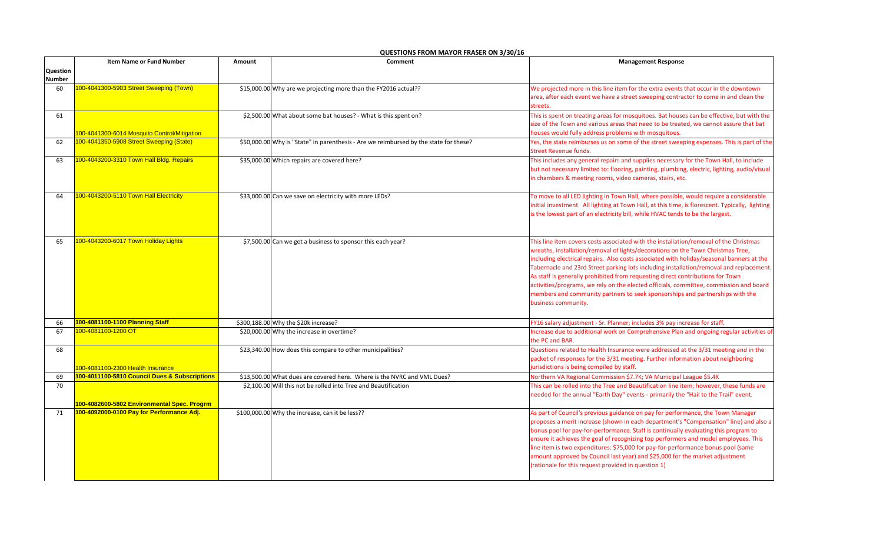|               | <b>Item Name or Fund Number</b>               | Amount | Comment                                                                               | <b>Management Response</b>                                                                                                                                                                                                                                                                                                                                                                                                                                                                                                                                                                                                                          |
|---------------|-----------------------------------------------|--------|---------------------------------------------------------------------------------------|-----------------------------------------------------------------------------------------------------------------------------------------------------------------------------------------------------------------------------------------------------------------------------------------------------------------------------------------------------------------------------------------------------------------------------------------------------------------------------------------------------------------------------------------------------------------------------------------------------------------------------------------------------|
| Question      |                                               |        |                                                                                       |                                                                                                                                                                                                                                                                                                                                                                                                                                                                                                                                                                                                                                                     |
| <b>Number</b> |                                               |        |                                                                                       |                                                                                                                                                                                                                                                                                                                                                                                                                                                                                                                                                                                                                                                     |
| 60            | 100-4041300-5903 Street Sweeping (Town)       |        | \$15,000.00 Why are we projecting more than the FY2016 actual??                       | We projected more in this line item for the extra events that occur in the downtown<br>area, after each event we have a street sweeping contractor to come in and clean the<br>streets.                                                                                                                                                                                                                                                                                                                                                                                                                                                             |
| 61            | 100-4041300-6014 Mosquito Control/Mitigation  |        | \$2,500.00 What about some bat houses? - What is this spent on?                       | This is spent on treating areas for mosquitoes. Bat houses can be effective, but with the<br>size of the Town and various areas that need to be treated, we cannot assure that bat<br>houses would fully address problems with mosquitoes.                                                                                                                                                                                                                                                                                                                                                                                                          |
| 62            | 100-4041350-5908 Street Sweeping (State)      |        | \$50,000.00 Why is "State" in parenthesis - Are we reimbursed by the state for these? | Yes, the state reimburses us on some of the street sweeping expenses. This is part of the<br><b>Street Revenue funds.</b>                                                                                                                                                                                                                                                                                                                                                                                                                                                                                                                           |
| 63            | 100-4043200-3310 Town Hall Bldg. Repairs      |        | \$35,000.00 Which repairs are covered here?                                           | This includes any general repairs and supplies necessary for the Town Hall, to include<br>but not necessary limited to: flooring, painting, plumbing, electric, lighting, audio/visual<br>in chambers & meeting rooms, video cameras, stairs, etc.                                                                                                                                                                                                                                                                                                                                                                                                  |
| 64            | 100-4043200-5110 Town Hall Electricity        |        | \$33,000.00 Can we save on electricity with more LEDs?                                | To move to all LED lighting in Town Hall, where possible, would require a considerable<br>initial investment. All lighting at Town Hall, at this time, is florescent. Typically, lighting<br>is the lowest part of an electricity bill, while HVAC tends to be the largest.                                                                                                                                                                                                                                                                                                                                                                         |
| 65            | 100-4043200-6017 Town Holiday Lights          |        | \$7,500.00 Can we get a business to sponsor this each year?                           | This line item covers costs associated with the installation/removal of the Christmas<br>wreaths, installation/removal of lights/decorations on the Town Christmas Tree,<br>including electrical repairs. Also costs associated with holiday/seasonal banners at the<br>Tabernacle and 23rd Street parking lots including installation/removal and replacement.<br>As staff is generally prohibited from requesting direct contributions for Town<br>activities/programs, we rely on the elected officials, committee, commission and board<br>members and community partners to seek sponsorships and partnerships with the<br>business community. |
| 66            | 100-4081100-1100 Planning Staff               |        | \$300,188.00 Why the \$20k increase?                                                  | FY16 salary adjustment - Sr. Planner; includes 3% pay increase for staff.                                                                                                                                                                                                                                                                                                                                                                                                                                                                                                                                                                           |
| 67            | 100-4081100-1200 OT                           |        | \$20,000.00 Why the increase in overtime?                                             | Increase due to additional work on Comprehensive Plan and ongoing regular activities of<br>the PC and BAR.                                                                                                                                                                                                                                                                                                                                                                                                                                                                                                                                          |
| 68            | 100-4081100-2300 Health Insurance             |        | \$23,340.00 How does this compare to other municipalities?                            | Questions related to Health Insurance were addressed at the 3/31 meeting and in the<br>packet of responses for the 3/31 meeting. Further information about neighboring<br>jurisdictions is being compiled by staff.                                                                                                                                                                                                                                                                                                                                                                                                                                 |
| 69            | 100-4011100-5810 Council Dues & Subscriptions |        | \$13,500.00 What dues are covered here. Where is the NVRC and VML Dues?               | Northern VA Regional Commission \$7.7K; VA Municipal League \$5.4K                                                                                                                                                                                                                                                                                                                                                                                                                                                                                                                                                                                  |
| 70            | 100-4082600-5802 Environmental Spec. Progrm   |        | \$2,100.00 Will this not be rolled into Tree and Beautification                       | This can be rolled into the Tree and Beautification line item; however, these funds are<br>needed for the annual "Earth Day" events - primarily the "Hail to the Trail" event.                                                                                                                                                                                                                                                                                                                                                                                                                                                                      |
| 71            | 100-4092000-0100 Pay for Performance Adj.     |        | \$100,000.00 Why the increase, can it be less??                                       | As part of Council's previous guidance on pay for performance, the Town Manager<br>proposes a merit increase (shown in each department's "Compensation" line) and also a<br>bonus pool for pay-for-performance. Staff is continually evaluating this program to<br>ensure it achieves the goal of recognizing top performers and model employees. This<br>line item is two expenditures: \$75,000 for pay-for-performance bonus pool (same<br>amount approved by Council last year) and \$25,000 for the market adjustment<br>(rationale for this request provided in question 1)                                                                   |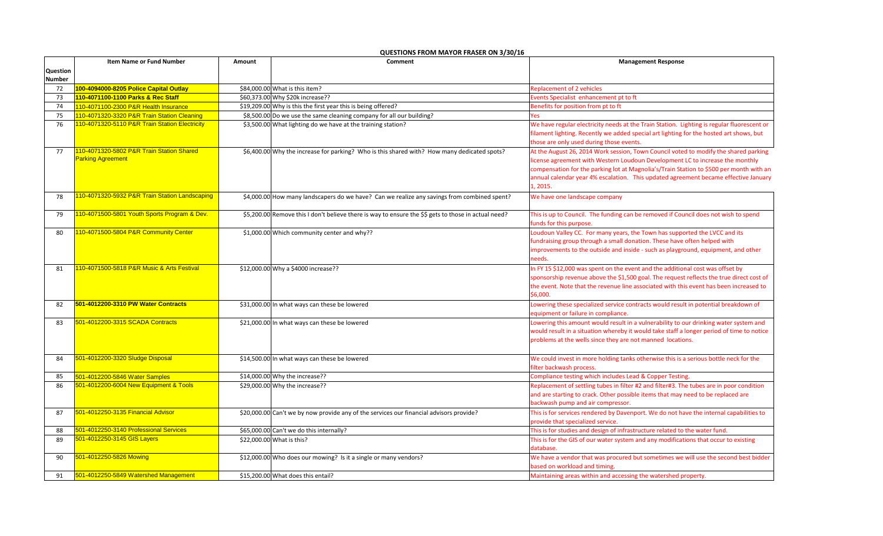|               | <b>Item Name or Fund Number</b>                | <b>Management Response</b><br>Comment<br>Amount |                                                                                                      |                                                                                                                              |
|---------------|------------------------------------------------|-------------------------------------------------|------------------------------------------------------------------------------------------------------|------------------------------------------------------------------------------------------------------------------------------|
| Question      |                                                |                                                 |                                                                                                      |                                                                                                                              |
| <b>Number</b> |                                                |                                                 |                                                                                                      |                                                                                                                              |
| 72            | 100-4094000-8205 Police Capital Outlay         |                                                 | \$84,000.00 What is this item?                                                                       | <b>Replacement of 2 vehicles</b>                                                                                             |
| 73            | 110-4071100-1100 Parks & Rec Staff             |                                                 | \$60,373.00 Why \$20k increase??                                                                     | Events Specialist enhancement pt to ft                                                                                       |
| 74            | 110-4071100-2300 P&R Health Insurance          |                                                 | \$19,209.00 Why is this the first year this is being offered?                                        | Benefits for position from pt to ft                                                                                          |
| 75            | 110-4071320-3320 P&R Train Station Cleaning    |                                                 | \$8,500.00 Do we use the same cleaning company for all our building?                                 | Yes                                                                                                                          |
| 76            | 110-4071320-5110 P&R Train Station Electricity |                                                 | \$3,500.00 What lighting do we have at the training station?                                         | We have regular electricity needs at the Train Station. Lighting is regular fluorescent or                                   |
|               |                                                |                                                 |                                                                                                      | filament lighting. Recently we added special art lighting for the hosted art shows, but                                      |
|               |                                                |                                                 |                                                                                                      | those are only used during those events.                                                                                     |
| 77            | 110-4071320-5802 P&R Train Station Shared      |                                                 | \$6,400.00 Why the increase for parking? Who is this shared with? How many dedicated spots?          | At the August 26, 2014 Work session, Town Council voted to modify the shared parking                                         |
|               | <b>Parking Agreement</b>                       |                                                 |                                                                                                      | license agreement with Western Loudoun Development LC to increase the monthly                                                |
|               |                                                |                                                 |                                                                                                      | compensation for the parking lot at Magnolia's/Train Station to \$500 per month with an                                      |
|               |                                                |                                                 |                                                                                                      | annual calendar year 4% escalation. This updated agreement became effective January                                          |
|               |                                                |                                                 |                                                                                                      | 1, 2015.                                                                                                                     |
| 78            | 110-4071320-5932 P&R Train Station Landscaping |                                                 | \$4,000.00 How many landscapers do we have? Can we realize any savings from combined spent?          | We have one landscape company                                                                                                |
|               |                                                |                                                 |                                                                                                      |                                                                                                                              |
| 79            | 110-4071500-5801 Youth Sports Program & Dev.   |                                                 | \$5,200.00 Remove this I don't believe there is way to ensure the \$\$ gets to those in actual need? | This is up to Council. The funding can be removed if Council does not wish to spend                                          |
|               |                                                |                                                 |                                                                                                      | funds for this purpose.                                                                                                      |
| 80            | 110-4071500-5804 P&R Community Center          |                                                 | \$1,000.00 Which community center and why??                                                          | Loudoun Valley CC. For many years, the Town has supported the LVCC and its                                                   |
|               |                                                |                                                 |                                                                                                      | fundraising group through a small donation. These have often helped with                                                     |
|               |                                                |                                                 |                                                                                                      | improvements to the outside and inside - such as playground, equipment, and other                                            |
|               |                                                |                                                 |                                                                                                      | needs.                                                                                                                       |
| 81            | 110-4071500-5818 P&R Music & Arts Festival     |                                                 | \$12,000.00 Why a \$4000 increase??                                                                  | In FY 15 \$12,000 was spent on the event and the additional cost was offset by                                               |
|               |                                                |                                                 |                                                                                                      | sponsorship revenue above the \$1,500 goal. The request reflects the true direct cost of                                     |
|               |                                                |                                                 |                                                                                                      | the event. Note that the revenue line associated with this event has been increased to                                       |
|               |                                                |                                                 |                                                                                                      | \$6,000.                                                                                                                     |
| 82            | 501-4012200-3310 PW Water Contracts            |                                                 | \$31,000.00 In what ways can these be lowered                                                        | Lowering these specialized service contracts would result in potential breakdown of                                          |
|               |                                                |                                                 |                                                                                                      | equipment or failure in compliance.                                                                                          |
| 83            | 501-4012200-3315 SCADA Contracts               |                                                 | \$21,000.00 In what ways can these be lowered                                                        | Lowering this amount would result in a vulnerability to our drinking water system and                                        |
|               |                                                |                                                 |                                                                                                      | would result in a situation whereby it would take staff a longer period of time to notice                                    |
|               |                                                |                                                 |                                                                                                      | problems at the wells since they are not manned locations.                                                                   |
| 84            | 501-4012200-3320 Sludge Disposal               |                                                 |                                                                                                      |                                                                                                                              |
|               |                                                |                                                 | \$14,500.00 In what ways can these be lowered                                                        | We could invest in more holding tanks otherwise this is a serious bottle neck for the<br>filter backwash process.            |
| 85            | 501-4012200-5846 Water Samples                 |                                                 | \$14,000.00 Why the increase??                                                                       | Compliance testing which includes Lead & Copper Testing.                                                                     |
| 86            | 501-4012200-6004 New Equipment & Tools         |                                                 | \$29,000.00 Why the increase??                                                                       | Replacement of settling tubes in filter #2 and filter#3. The tubes are in poor condition                                     |
|               |                                                |                                                 |                                                                                                      | and are starting to crack. Other possible items that may need to be replaced are                                             |
|               |                                                |                                                 |                                                                                                      | backwash pump and air compressor.                                                                                            |
| 87            | 501-4012250-3135 Financial Advisor             |                                                 |                                                                                                      |                                                                                                                              |
|               |                                                |                                                 | \$20,000.00 Can't we by now provide any of the services our financial advisors provide?              | This is for services rendered by Davenport. We do not have the internal capabilities to<br>provide that specialized service. |
| 88            | 501-4012250-3140 Professional Services         |                                                 | \$65,000.00 Can't we do this internally?                                                             | This is for studies and design of infrastructure related to the water fund.                                                  |
| 89            | 501-4012250-3145 GIS Layers                    |                                                 | \$22,000.00 What is this?                                                                            | This is for the GIS of our water system and any modifications that occur to existing                                         |
|               |                                                |                                                 |                                                                                                      | database.                                                                                                                    |
| 90            | 501-4012250-5826 Mowing                        |                                                 | \$12,000.00 Who does our mowing? Is it a single or many vendors?                                     | We have a vendor that was procured but sometimes we will use the second best bidder                                          |
|               |                                                |                                                 |                                                                                                      | based on workload and timing.                                                                                                |
| 91            | 501-4012250-5849 Watershed Management          |                                                 | \$15,200,00 What does this entail?                                                                   | Maintaining areas within and accessing the watershed property.                                                               |
|               |                                                |                                                 |                                                                                                      |                                                                                                                              |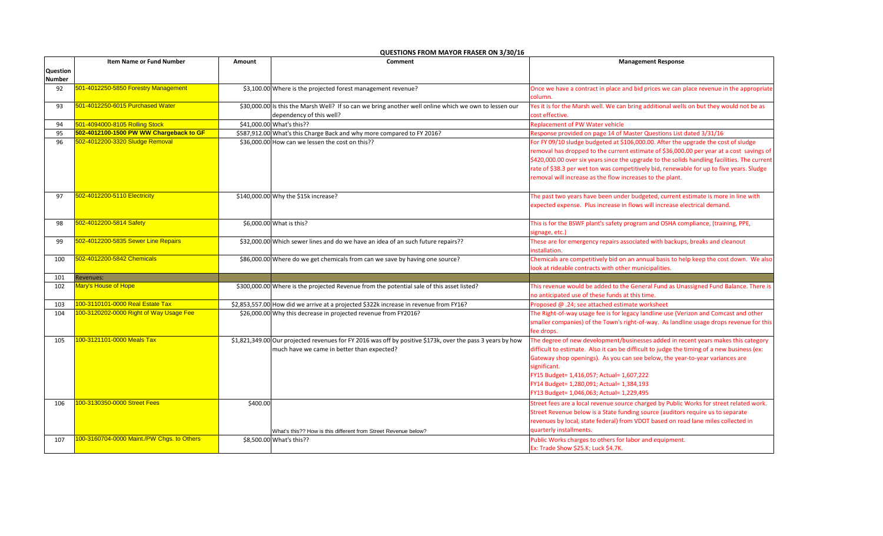|                 | <b>Item Name or Fund Number</b>            | Amount   | Comment                                                                                                                                                  | <b>Management Response</b>                                                                                                                                                                                                                                                                                                                                                                                                              |  |
|-----------------|--------------------------------------------|----------|----------------------------------------------------------------------------------------------------------------------------------------------------------|-----------------------------------------------------------------------------------------------------------------------------------------------------------------------------------------------------------------------------------------------------------------------------------------------------------------------------------------------------------------------------------------------------------------------------------------|--|
| <b>Question</b> |                                            |          |                                                                                                                                                          |                                                                                                                                                                                                                                                                                                                                                                                                                                         |  |
| <b>Number</b>   |                                            |          |                                                                                                                                                          |                                                                                                                                                                                                                                                                                                                                                                                                                                         |  |
| 92              | 501-4012250-5850 Forestry Management       |          | \$3,100.00 Where is the projected forest management revenue?                                                                                             | Once we have a contract in place and bid prices we can place revenue in the appropriate<br>column.                                                                                                                                                                                                                                                                                                                                      |  |
| 93              | 501-4012250-6015 Purchased Water           |          | \$30,000.00 Is this the Marsh Well? If so can we bring another well online which we own to lessen our<br>dependency of this well?                        | Yes it is for the Marsh well. We can bring additional wells on but they would not be as<br>cost effective.                                                                                                                                                                                                                                                                                                                              |  |
| 94              | 501-4094000-8105 Rolling Stock             |          | \$41,000.00 What's this??                                                                                                                                | <b>Replacement of PW Water vehicle</b>                                                                                                                                                                                                                                                                                                                                                                                                  |  |
| 95              | 502-4012100-1500 PW WW Chargeback to GF    |          | \$587,912.00 What's this Charge Back and why more compared to FY 2016?                                                                                   | Response provided on page 14 of Master Questions List dated 3/31/16                                                                                                                                                                                                                                                                                                                                                                     |  |
| 96              | 502-4012200-3320 Sludge Removal            |          | \$36,000.00 How can we lessen the cost on this??                                                                                                         | For FY 09/10 sludge budgeted at \$106,000.00. After the upgrade the cost of sludge<br>removal has dropped to the current estimate of \$36,000.00 per year at a cost savings of<br>\$420,000.00 over six years since the upgrade to the solids handling facilities. The current<br>rate of \$38.3 per wet ton was competitively bid, renewable for up to five years. Sludge<br>removal will increase as the flow increases to the plant. |  |
| 97              | 502-4012200-5110 Electricity               |          | \$140,000.00 Why the \$15k increase?                                                                                                                     | The past two years have been under budgeted, current estimate is more in line with<br>expected expense. Plus increase in flows will increase electrical demand.                                                                                                                                                                                                                                                                         |  |
| 98              | 502-4012200-5814 Safety                    |          | \$6,000.00 What is this?                                                                                                                                 | This is for the BSWF plant's safety program and OSHA compliance, (training, PPE,<br>signage, etc.)                                                                                                                                                                                                                                                                                                                                      |  |
| 99              | 502-4012200-5835 Sewer Line Repairs        |          | \$32,000.00 Which sewer lines and do we have an idea of an such future repairs??                                                                         | These are for emergency repairs associated with backups, breaks and cleanout<br>installation.                                                                                                                                                                                                                                                                                                                                           |  |
| 100             | 502-4012200-5842 Chemicals                 |          | \$86,000.00 Where do we get chemicals from can we save by having one source?                                                                             | Chemicals are competitively bid on an annual basis to help keep the cost down. We also<br>look at rideable contracts with other municipalities.                                                                                                                                                                                                                                                                                         |  |
| 101             | Revenues:                                  |          |                                                                                                                                                          |                                                                                                                                                                                                                                                                                                                                                                                                                                         |  |
| 102             | Mary's House of Hope                       |          | \$300,000.00 Where is the projected Revenue from the potential sale of this asset listed?                                                                | This revenue would be added to the General Fund as Unassigned Fund Balance. There is<br>no anticipated use of these funds at this time.                                                                                                                                                                                                                                                                                                 |  |
| 103             | 100-3110101-0000 Real Estate Tax           |          | \$2,853,557.00 How did we arrive at a projected \$322k increase in revenue from FY16?                                                                    | Proposed @ .24; see attached estimate worksheet                                                                                                                                                                                                                                                                                                                                                                                         |  |
| 104             | 100-3120202-0000 Right of Way Usage Fee    |          | \$26,000.00 Why this decrease in projected revenue from FY2016?                                                                                          | The Right-of-way usage fee is for legacy landline use (Verizon and Comcast and other<br>smaller companies) of the Town's right-of-way. As landline usage drops revenue for this<br>fee drops.                                                                                                                                                                                                                                           |  |
| 105             | 100-3121101-0000 Meals Tax                 |          | \$1,821,349.00 Our projected revenues for FY 2016 was off by positive \$173k, over the pass 3 years by how<br>much have we came in better than expected? | The degree of new development/businesses added in recent years makes this category<br>difficult to estimate. Also it can be difficult to judge the timing of a new business (ex:<br>Gateway shop openings). As you can see below, the year-to-year variances are<br>significant.<br>FY15 Budget= 1,416,057; Actual= 1,607,222<br>FY14 Budget= 1,280,091; Actual= 1,384,193<br>FY13 Budget= 1,046,063; Actual= 1,229,495                 |  |
| 106             | 100-3130350-0000 Street Fees               | \$400.00 | What's this?? How is this different from Street Revenue below?                                                                                           | Street fees are a local revenue source charged by Public Works for street related work.<br>Street Revenue below is a State funding source (auditors require us to separate<br>revenues by local, state federal) from VDOT based on road lane miles collected in<br>quarterly installments.                                                                                                                                              |  |
| 107             | 100-3160704-0000 Maint./PW Chgs. to Others |          | \$8,500.00 What's this??                                                                                                                                 | Public Works charges to others for labor and equipment.<br>Ex: Trade Show \$25.K; Luck \$4.7K.                                                                                                                                                                                                                                                                                                                                          |  |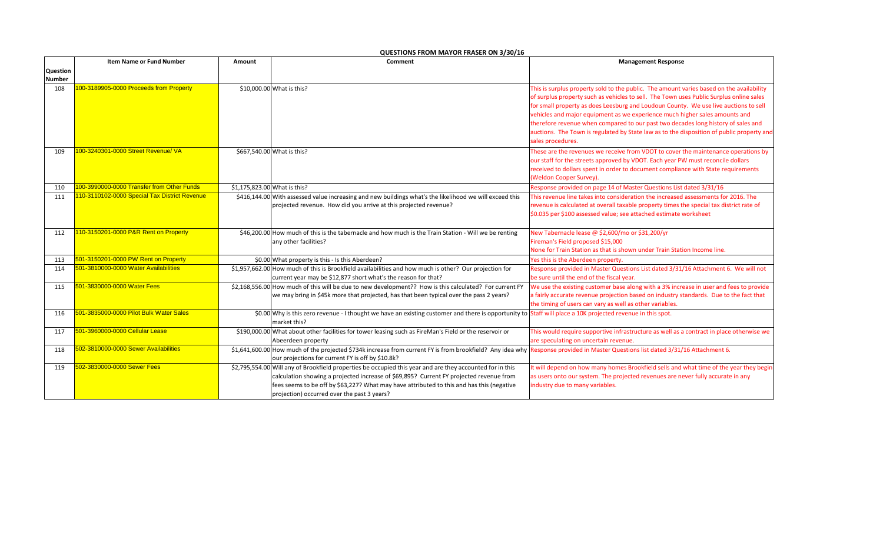|                 | <b>Item Name or Fund Number</b><br>Comment<br>Amount |                              | <b>Management Response</b>                                                                                                                                                                                                                                                                                                                       |                                                                                                                                                                                                                                                                                                                                                                                                                                                                                                                                                                   |
|-----------------|------------------------------------------------------|------------------------------|--------------------------------------------------------------------------------------------------------------------------------------------------------------------------------------------------------------------------------------------------------------------------------------------------------------------------------------------------|-------------------------------------------------------------------------------------------------------------------------------------------------------------------------------------------------------------------------------------------------------------------------------------------------------------------------------------------------------------------------------------------------------------------------------------------------------------------------------------------------------------------------------------------------------------------|
| <b>Question</b> |                                                      |                              |                                                                                                                                                                                                                                                                                                                                                  |                                                                                                                                                                                                                                                                                                                                                                                                                                                                                                                                                                   |
| <b>Number</b>   |                                                      |                              |                                                                                                                                                                                                                                                                                                                                                  |                                                                                                                                                                                                                                                                                                                                                                                                                                                                                                                                                                   |
| 108             | 100-3189905-0000 Proceeds from Property              |                              | \$10,000.00 What is this?                                                                                                                                                                                                                                                                                                                        | This is surplus property sold to the public. The amount varies based on the availability<br>of surplus property such as vehicles to sell. The Town uses Public Surplus online sales<br>for small property as does Leesburg and Loudoun County. We use live auctions to sell<br>vehicles and major equipment as we experience much higher sales amounts and<br>therefore revenue when compared to our past two decades long history of sales and<br>auctions. The Town is regulated by State law as to the disposition of public property and<br>sales procedures. |
| 109             | 100-3240301-0000 Street Revenue/ VA                  |                              | \$667,540.00 What is this?                                                                                                                                                                                                                                                                                                                       | These are the revenues we receive from VDOT to cover the maintenance operations by<br>our staff for the streets approved by VDOT. Each year PW must reconcile dollars<br>received to dollars spent in order to document compliance with State requirements<br>(Weldon Cooper Survey).                                                                                                                                                                                                                                                                             |
| 110             | 100-3990000-0000 Transfer from Other Funds           | \$1,175,823.00 What is this? |                                                                                                                                                                                                                                                                                                                                                  | Response provided on page 14 of Master Questions List dated 3/31/16                                                                                                                                                                                                                                                                                                                                                                                                                                                                                               |
| 111             | 110-3110102-0000 Special Tax District Revenue        |                              | \$416,144.00 With assessed value increasing and new buildings what's the likelihood we will exceed this<br>projected revenue. How did you arrive at this projected revenue?                                                                                                                                                                      | This revenue line takes into consideration the increased assessments for 2016. The<br>revenue is calculated at overall taxable property times the special tax district rate of<br>\$0.035 per \$100 assessed value; see attached estimate worksheet                                                                                                                                                                                                                                                                                                               |
| 112             | 110-3150201-0000 P&R Rent on Property                |                              | \$46,200.00 How much of this is the tabernacle and how much is the Train Station - Will we be renting<br>any other facilities?                                                                                                                                                                                                                   | New Tabernacle lease @ \$2,600/mo or \$31,200/yr<br>Fireman's Field proposed \$15,000<br>None for Train Station as that is shown under Train Station Income line.                                                                                                                                                                                                                                                                                                                                                                                                 |
| 113             | 501-3150201-0000 PW Rent on Property                 |                              | \$0.00 What property is this - Is this Aberdeen?                                                                                                                                                                                                                                                                                                 | Yes this is the Aberdeen property.                                                                                                                                                                                                                                                                                                                                                                                                                                                                                                                                |
| 114             | 501-3810000-0000 Water Availabilities                |                              | \$1,957,662.00 How much of this is Brookfield availabilities and how much is other? Our projection for<br>current year may be \$12,877 short what's the reason for that?                                                                                                                                                                         | Response provided in Master Questions List dated 3/31/16 Attachment 6. We will not<br>be sure until the end of the fiscal year.                                                                                                                                                                                                                                                                                                                                                                                                                                   |
| 115             | 501-3830000-0000 Water Fees                          |                              | \$2,168,556.00 How much of this will be due to new development?? How is this calculated? For current FY<br>we may bring in \$45k more that projected, has that been typical over the pass 2 years?                                                                                                                                               | We use the existing customer base along with a 3% increase in user and fees to provide<br>a fairly accurate revenue projection based on industry standards. Due to the fact that<br>the timing of users can vary as well as other variables.                                                                                                                                                                                                                                                                                                                      |
| 116             | 501-3835000-0000 Pilot Bulk Water Sales              |                              | \$0.00 Why is this zero revenue - I thought we have an existing customer and there is opportunity to Staff will place a 10K projected revenue in this spot.<br>market this?                                                                                                                                                                      |                                                                                                                                                                                                                                                                                                                                                                                                                                                                                                                                                                   |
| 117             | 501-3960000-0000 Cellular Lease                      |                              | \$190,000.00 What about other facilities for tower leasing such as FireMan's Field or the reservoir or<br>Abeerdeen property                                                                                                                                                                                                                     | This would require supportive infrastructure as well as a contract in place otherwise we<br>are speculating on uncertain revenue.                                                                                                                                                                                                                                                                                                                                                                                                                                 |
| 118             | 502-3810000-0000 Sewer Availabilities                |                              | \$1,641,600.00 How much of the projected \$734k increase from current FY is from brookfield? Any idea why Response provided in Master Questions list dated 3/31/16 Attachment 6.<br>our projections for current FY is off by \$10.8k?                                                                                                            |                                                                                                                                                                                                                                                                                                                                                                                                                                                                                                                                                                   |
| 119             | 502-3830000-0000 Sewer Fees                          |                              | \$2,795,554.00 Will any of Brookfield properties be occupied this year and are they accounted for in this<br>calculation showing a projected increase of \$69,895? Current FY projected revenue from<br>fees seems to be off by \$63,227? What may have attributed to this and has this (negative<br>projection) occurred over the past 3 years? | It will depend on how many homes Brookfield sells and what time of the year they begin<br>as users onto our system. The projected revenues are never fully accurate in any<br>industry due to many variables.                                                                                                                                                                                                                                                                                                                                                     |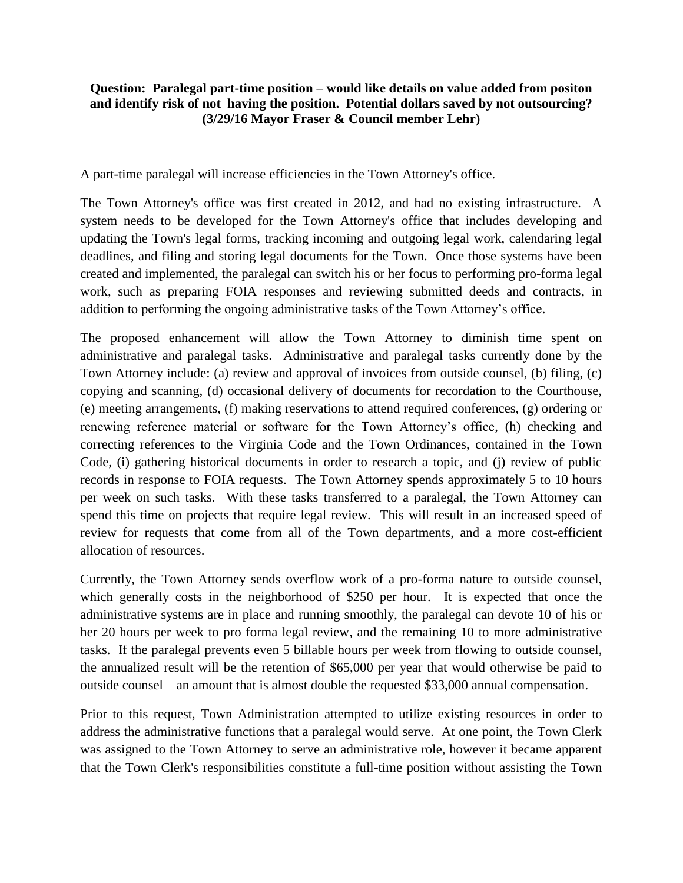## **Question: Paralegal part-time position – would like details on value added from positon and identify risk of not having the position. Potential dollars saved by not outsourcing? (3/29/16 Mayor Fraser & Council member Lehr)**

A part-time paralegal will increase efficiencies in the Town Attorney's office.

The Town Attorney's office was first created in 2012, and had no existing infrastructure. A system needs to be developed for the Town Attorney's office that includes developing and updating the Town's legal forms, tracking incoming and outgoing legal work, calendaring legal deadlines, and filing and storing legal documents for the Town. Once those systems have been created and implemented, the paralegal can switch his or her focus to performing pro-forma legal work, such as preparing FOIA responses and reviewing submitted deeds and contracts, in addition to performing the ongoing administrative tasks of the Town Attorney's office.

The proposed enhancement will allow the Town Attorney to diminish time spent on administrative and paralegal tasks. Administrative and paralegal tasks currently done by the Town Attorney include: (a) review and approval of invoices from outside counsel, (b) filing, (c) copying and scanning, (d) occasional delivery of documents for recordation to the Courthouse, (e) meeting arrangements, (f) making reservations to attend required conferences, (g) ordering or renewing reference material or software for the Town Attorney's office, (h) checking and correcting references to the Virginia Code and the Town Ordinances, contained in the Town Code, (i) gathering historical documents in order to research a topic, and (j) review of public records in response to FOIA requests. The Town Attorney spends approximately 5 to 10 hours per week on such tasks. With these tasks transferred to a paralegal, the Town Attorney can spend this time on projects that require legal review. This will result in an increased speed of review for requests that come from all of the Town departments, and a more cost-efficient allocation of resources.

Currently, the Town Attorney sends overflow work of a pro-forma nature to outside counsel, which generally costs in the neighborhood of \$250 per hour. It is expected that once the administrative systems are in place and running smoothly, the paralegal can devote 10 of his or her 20 hours per week to pro forma legal review, and the remaining 10 to more administrative tasks. If the paralegal prevents even 5 billable hours per week from flowing to outside counsel, the annualized result will be the retention of \$65,000 per year that would otherwise be paid to outside counsel – an amount that is almost double the requested \$33,000 annual compensation.

Prior to this request, Town Administration attempted to utilize existing resources in order to address the administrative functions that a paralegal would serve. At one point, the Town Clerk was assigned to the Town Attorney to serve an administrative role, however it became apparent that the Town Clerk's responsibilities constitute a full-time position without assisting the Town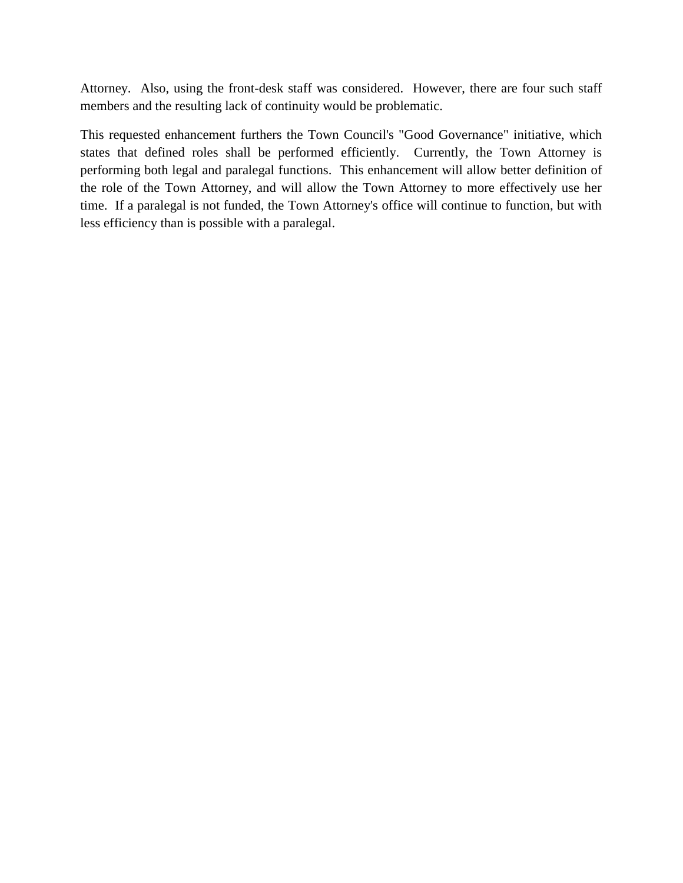Attorney. Also, using the front-desk staff was considered. However, there are four such staff members and the resulting lack of continuity would be problematic.

This requested enhancement furthers the Town Council's "Good Governance" initiative, which states that defined roles shall be performed efficiently. Currently, the Town Attorney is performing both legal and paralegal functions. This enhancement will allow better definition of the role of the Town Attorney, and will allow the Town Attorney to more effectively use her time. If a paralegal is not funded, the Town Attorney's office will continue to function, but with less efficiency than is possible with a paralegal.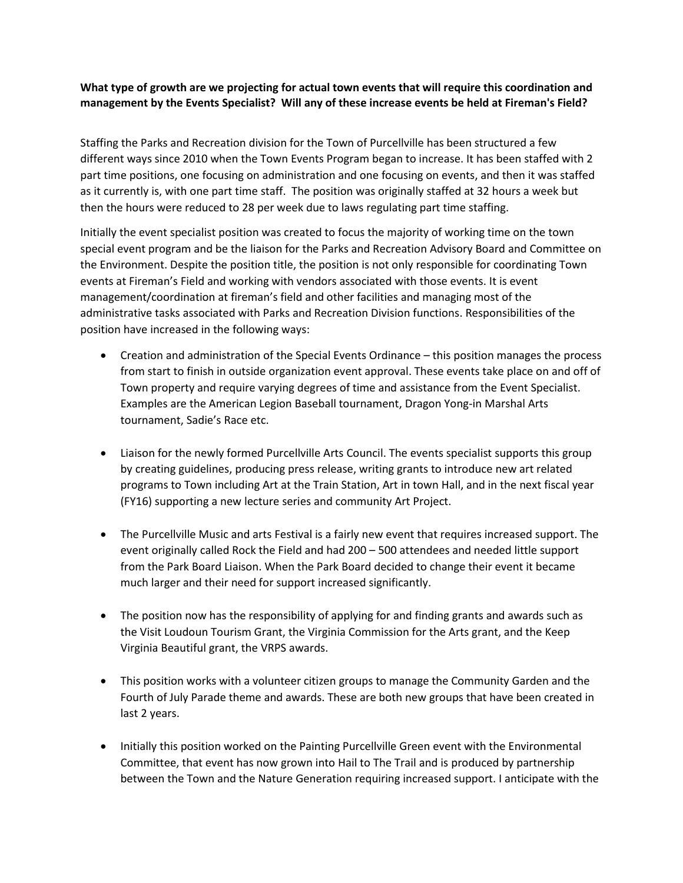## **What type of growth are we projecting for actual town events that will require this coordination and management by the Events Specialist? Will any of these increase events be held at Fireman's Field?**

Staffing the Parks and Recreation division for the Town of Purcellville has been structured a few different ways since 2010 when the Town Events Program began to increase. It has been staffed with 2 part time positions, one focusing on administration and one focusing on events, and then it was staffed as it currently is, with one part time staff. The position was originally staffed at 32 hours a week but then the hours were reduced to 28 per week due to laws regulating part time staffing.

Initially the event specialist position was created to focus the majority of working time on the town special event program and be the liaison for the Parks and Recreation Advisory Board and Committee on the Environment. Despite the position title, the position is not only responsible for coordinating Town events at Fireman's Field and working with vendors associated with those events. It is event management/coordination at fireman's field and other facilities and managing most of the administrative tasks associated with Parks and Recreation Division functions. Responsibilities of the position have increased in the following ways:

- Creation and administration of the Special Events Ordinance this position manages the process from start to finish in outside organization event approval. These events take place on and off of Town property and require varying degrees of time and assistance from the Event Specialist. Examples are the American Legion Baseball tournament, Dragon Yong-in Marshal Arts tournament, Sadie's Race etc.
- Liaison for the newly formed Purcellville Arts Council. The events specialist supports this group by creating guidelines, producing press release, writing grants to introduce new art related programs to Town including Art at the Train Station, Art in town Hall, and in the next fiscal year (FY16) supporting a new lecture series and community Art Project.
- The Purcellville Music and arts Festival is a fairly new event that requires increased support. The event originally called Rock the Field and had 200 – 500 attendees and needed little support from the Park Board Liaison. When the Park Board decided to change their event it became much larger and their need for support increased significantly.
- The position now has the responsibility of applying for and finding grants and awards such as the Visit Loudoun Tourism Grant, the Virginia Commission for the Arts grant, and the Keep Virginia Beautiful grant, the VRPS awards.
- This position works with a volunteer citizen groups to manage the Community Garden and the Fourth of July Parade theme and awards. These are both new groups that have been created in last 2 years.
- Initially this position worked on the Painting Purcellville Green event with the Environmental Committee, that event has now grown into Hail to The Trail and is produced by partnership between the Town and the Nature Generation requiring increased support. I anticipate with the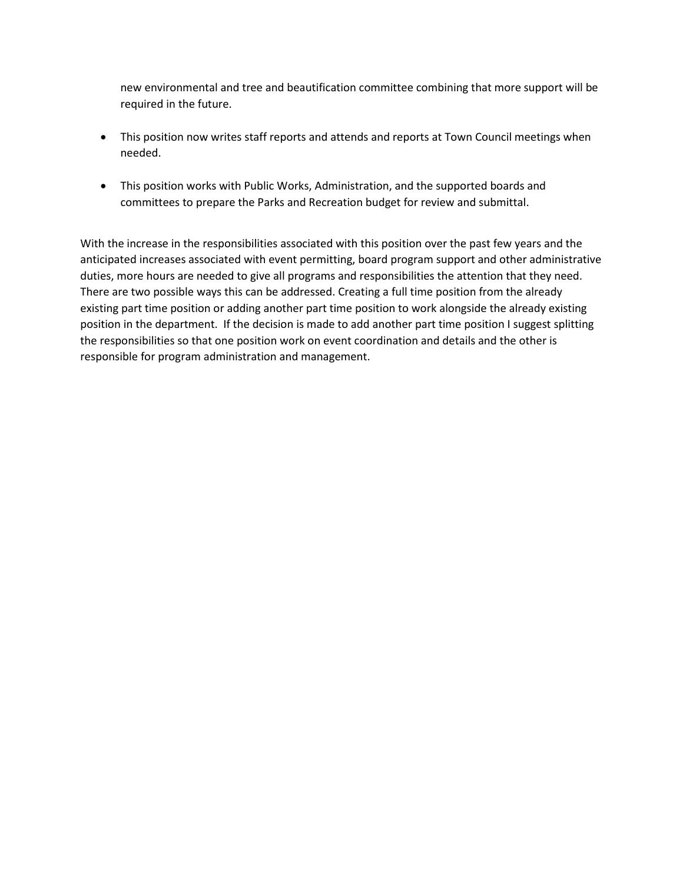new environmental and tree and beautification committee combining that more support will be required in the future.

- This position now writes staff reports and attends and reports at Town Council meetings when needed.
- This position works with Public Works, Administration, and the supported boards and committees to prepare the Parks and Recreation budget for review and submittal.

With the increase in the responsibilities associated with this position over the past few years and the anticipated increases associated with event permitting, board program support and other administrative duties, more hours are needed to give all programs and responsibilities the attention that they need. There are two possible ways this can be addressed. Creating a full time position from the already existing part time position or adding another part time position to work alongside the already existing position in the department. If the decision is made to add another part time position I suggest splitting the responsibilities so that one position work on event coordination and details and the other is responsible for program administration and management.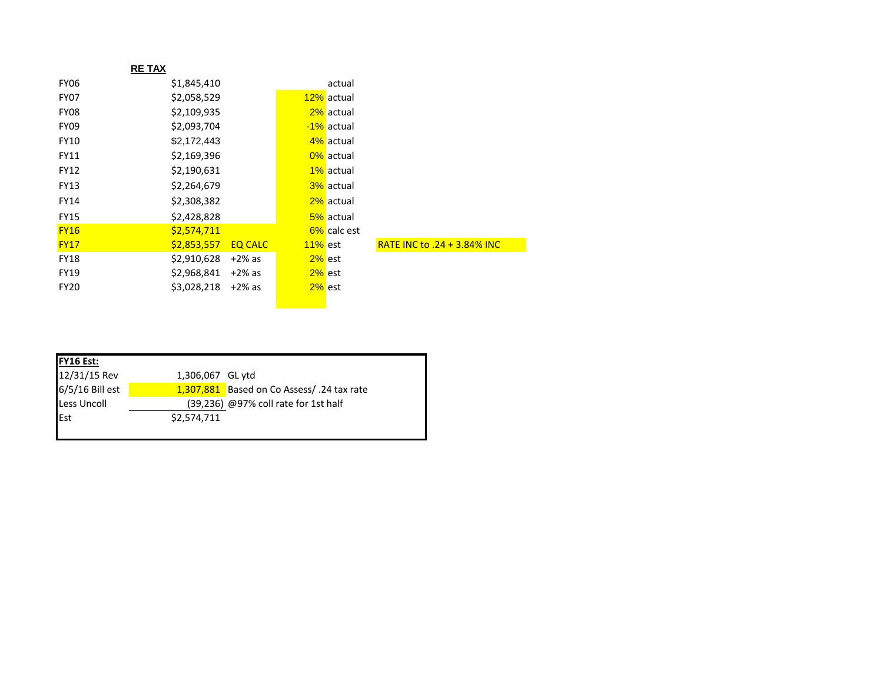|             | <b>RETAX</b>        |                |            |             |                                    |
|-------------|---------------------|----------------|------------|-------------|------------------------------------|
| <b>FY06</b> | \$1,845,410         |                |            | actual      |                                    |
| FY07        | \$2,058,529         |                |            | 12% actual  |                                    |
| FY08        | \$2,109,935         |                |            | 2% actual   |                                    |
| <b>FY09</b> | \$2,093,704         |                |            | -1% actual  |                                    |
| <b>FY10</b> | \$2,172,443         |                |            | 4% actual   |                                    |
| <b>FY11</b> | \$2,169,396         |                |            | 0% actual   |                                    |
| <b>FY12</b> | \$2,190,631         |                |            | 1% actual   |                                    |
| <b>FY13</b> | \$2,264,679         |                |            | 3% actual   |                                    |
| <b>FY14</b> | \$2,308,382         |                |            | 2% actual   |                                    |
| <b>FY15</b> | \$2,428,828         |                |            | 5% actual   |                                    |
| <b>FY16</b> | \$2,574,711         |                |            | 6% calc est |                                    |
| <b>FY17</b> | \$2,853,557         | <b>EQ CALC</b> | $11\%$ est |             | <b>RATE INC to .24 + 3.84% INC</b> |
| <b>FY18</b> | \$2,910,628         | $+2\%$ as      | $2\%$ est  |             |                                    |
| <b>FY19</b> | $$2,968,841$ +2% as |                | $2\%$ est  |             |                                    |
| <b>FY20</b> | \$3,028,218         | $+2\%$ as      | $2\%$ est  |             |                                    |
|             |                     |                |            |             |                                    |

| <b>FY16 Est:</b>   |                  |                                            |
|--------------------|------------------|--------------------------------------------|
| 12/31/15 Rev       | 1,306,067 GL ytd |                                            |
| 6/5/16 Bill est    |                  | 1,307,881 Based on Co Assess/ .24 tax rate |
| <b>Less Uncoll</b> |                  | (39,236) @97% coll rate for 1st half       |
| Est                | \$2,574,711      |                                            |
|                    |                  |                                            |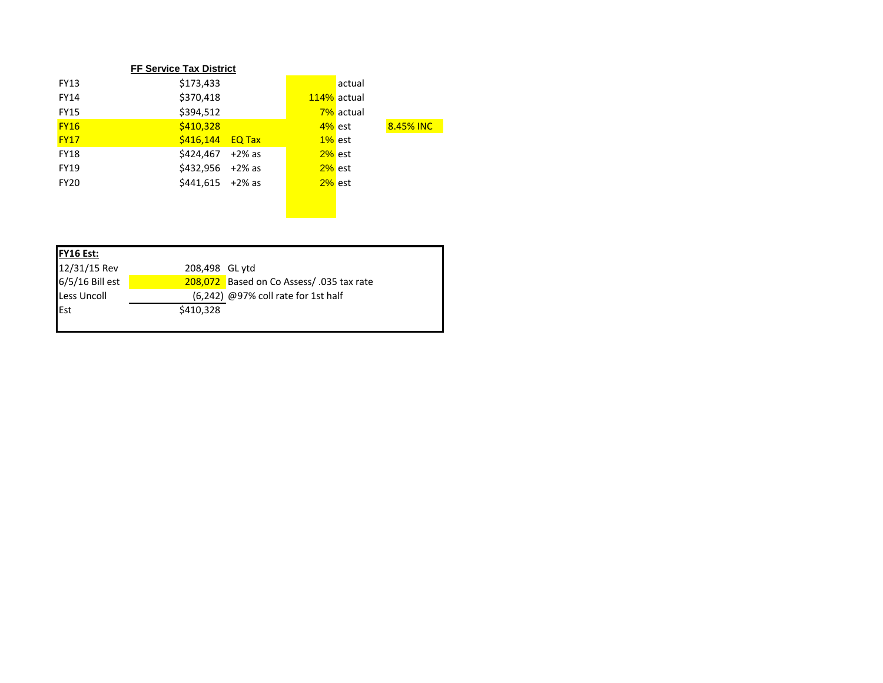|             | <b>FF Service Tax District</b>      |           |             |           |
|-------------|-------------------------------------|-----------|-------------|-----------|
| <b>FY13</b> | \$173,433                           |           | actual      |           |
| <b>FY14</b> | \$370,418                           |           | 114% actual |           |
| <b>FY15</b> | \$394,512                           |           | 7% actual   |           |
| <b>FY16</b> | \$410,328                           |           | $4\%$ est   | 8.45% INC |
| <b>FY17</b> | $\frac{\sqrt{2416,144}}{20}$ EQ Tax |           | $1\%$ est   |           |
| <b>FY18</b> | \$424.467<br>$+2\%$ as              | $2\%$ est |             |           |
| <b>FY19</b> | \$432,956<br>+2% as                 | $2\%$ est |             |           |
| <b>FY20</b> | $$441,615$ +2% as                   | $2\%$ est |             |           |

| <b>FY16 Est:</b>   |                |                                           |
|--------------------|----------------|-------------------------------------------|
| 12/31/15 Rev       | 208,498 GL ytd |                                           |
| 6/5/16 Bill est    |                | 208,072 Based on Co Assess/ .035 tax rate |
| <b>Less Uncoll</b> |                | $(6,242)$ @97% coll rate for 1st half     |
| Est                | \$410,328      |                                           |